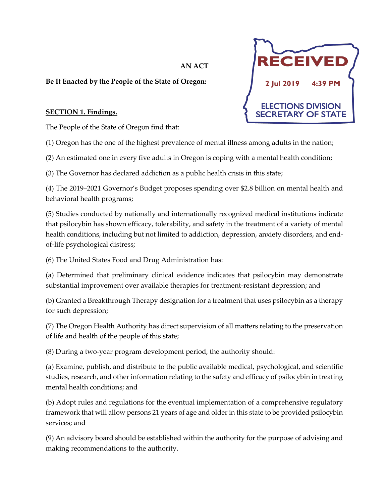# **AN ACT**

## **Be It Enacted by the People of the State of Oregon:**

## **SECTION 1. Findings.**

The People of the State of Oregon find that:

(1) Oregon has the one of the highest prevalence of mental illness among adults in the nation;

(2) An estimated one in every five adults in Oregon is coping with a mental health condition;

(3) The Governor has declared addiction as a public health crisis in this state;

(4) The 2019–2021 Governor's Budget proposes spending over \$2.8 billion on mental health and behavioral health programs;

(5) Studies conducted by nationally and internationally recognized medical institutions indicate that psilocybin has shown efficacy, tolerability, and safety in the treatment of a variety of mental health conditions, including but not limited to addiction, depression, anxiety disorders, and endof-life psychological distress;

(6) The United States Food and Drug Administration has:

(a) Determined that preliminary clinical evidence indicates that psilocybin may demonstrate substantial improvement over available therapies for treatment-resistant depression; and

(b) Granted a Breakthrough Therapy designation for a treatment that uses psilocybin as a therapy for such depression;

(7) The Oregon Health Authority has direct supervision of all matters relating to the preservation of life and health of the people of this state;

(8) During a two-year program development period, the authority should:

(a) Examine, publish, and distribute to the public available medical, psychological, and scientific studies, research, and other information relating to the safety and efficacy of psilocybin in treating mental health conditions; and

(b) Adopt rules and regulations for the eventual implementation of a comprehensive regulatory framework that will allow persons 21 years of age and older in this state to be provided psilocybin services; and

(9) An advisory board should be established within the authority for the purpose of advising and making recommendations to the authority.

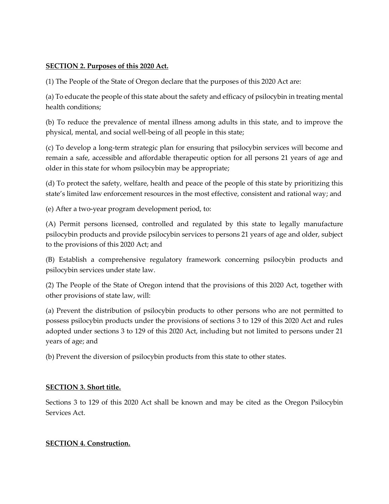## **SECTION 2. Purposes of this 2020 Act.**

(1) The People of the State of Oregon declare that the purposes of this 2020 Act are:

(a) To educate the people of this state about the safety and efficacy of psilocybin in treating mental health conditions;

(b) To reduce the prevalence of mental illness among adults in this state, and to improve the physical, mental, and social well-being of all people in this state;

(c) To develop a long-term strategic plan for ensuring that psilocybin services will become and remain a safe, accessible and affordable therapeutic option for all persons 21 years of age and older in this state for whom psilocybin may be appropriate;

(d) To protect the safety, welfare, health and peace of the people of this state by prioritizing this state's limited law enforcement resources in the most effective, consistent and rational way; and

(e) After a two-year program development period, to:

(A) Permit persons licensed, controlled and regulated by this state to legally manufacture psilocybin products and provide psilocybin services to persons 21 years of age and older, subject to the provisions of this 2020 Act; and

(B) Establish a comprehensive regulatory framework concerning psilocybin products and psilocybin services under state law.

(2) The People of the State of Oregon intend that the provisions of this 2020 Act, together with other provisions of state law, will:

(a) Prevent the distribution of psilocybin products to other persons who are not permitted to possess psilocybin products under the provisions of sections 3 to 129 of this 2020 Act and rules adopted under sections 3 to 129 of this 2020 Act, including but not limited to persons under 21 years of age; and

(b) Prevent the diversion of psilocybin products from this state to other states.

## **SECTION 3. Short title.**

Sections 3 to 129 of this 2020 Act shall be known and may be cited as the Oregon Psilocybin Services Act.

## **SECTION 4. Construction.**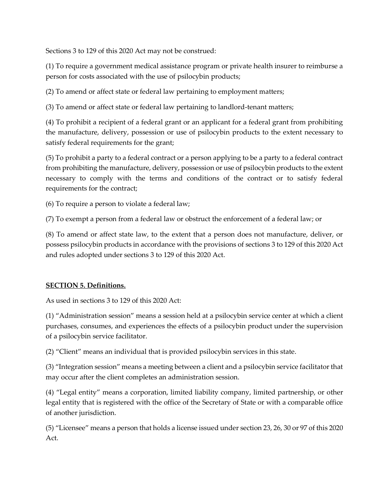Sections 3 to 129 of this 2020 Act may not be construed:

(1) To require a government medical assistance program or private health insurer to reimburse a person for costs associated with the use of psilocybin products;

(2) To amend or affect state or federal law pertaining to employment matters;

(3) To amend or affect state or federal law pertaining to landlord-tenant matters;

(4) To prohibit a recipient of a federal grant or an applicant for a federal grant from prohibiting the manufacture, delivery, possession or use of psilocybin products to the extent necessary to satisfy federal requirements for the grant;

(5) To prohibit a party to a federal contract or a person applying to be a party to a federal contract from prohibiting the manufacture, delivery, possession or use of psilocybin products to the extent necessary to comply with the terms and conditions of the contract or to satisfy federal requirements for the contract;

(6) To require a person to violate a federal law;

(7) To exempt a person from a federal law or obstruct the enforcement of a federal law; or

(8) To amend or affect state law, to the extent that a person does not manufacture, deliver, or possess psilocybin products in accordance with the provisions of sections 3 to 129 of this 2020 Act and rules adopted under sections 3 to 129 of this 2020 Act.

#### **SECTION 5. Definitions.**

As used in sections 3 to 129 of this 2020 Act:

(1) "Administration session" means a session held at a psilocybin service center at which a client purchases, consumes, and experiences the effects of a psilocybin product under the supervision of a psilocybin service facilitator.

(2) "Client" means an individual that is provided psilocybin services in this state.

(3) "Integration session" means a meeting between a client and a psilocybin service facilitator that may occur after the client completes an administration session.

(4) "Legal entity" means a corporation, limited liability company, limited partnership, or other legal entity that is registered with the office of the Secretary of State or with a comparable office of another jurisdiction.

(5) "Licensee" means a person that holds a license issued under section 23, 26, 30 or 97 of this 2020 Act.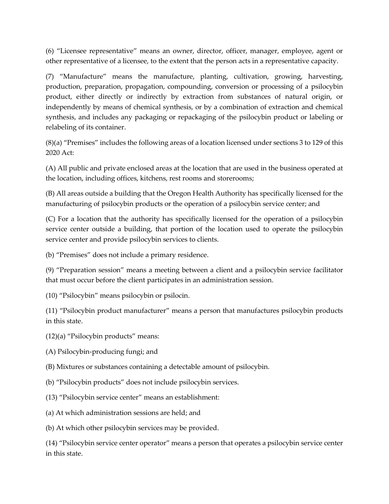(6) "Licensee representative" means an owner, director, officer, manager, employee, agent or other representative of a licensee, to the extent that the person acts in a representative capacity.

(7) "Manufacture" means the manufacture, planting, cultivation, growing, harvesting, production, preparation, propagation, compounding, conversion or processing of a psilocybin product, either directly or indirectly by extraction from substances of natural origin, or independently by means of chemical synthesis, or by a combination of extraction and chemical synthesis, and includes any packaging or repackaging of the psilocybin product or labeling or relabeling of its container.

(8)(a) "Premises" includes the following areas of a location licensed under sections 3 to 129 of this 2020 Act:

(A) All public and private enclosed areas at the location that are used in the business operated at the location, including offices, kitchens, rest rooms and storerooms;

(B) All areas outside a building that the Oregon Health Authority has specifically licensed for the manufacturing of psilocybin products or the operation of a psilocybin service center; and

(C) For a location that the authority has specifically licensed for the operation of a psilocybin service center outside a building, that portion of the location used to operate the psilocybin service center and provide psilocybin services to clients.

(b) "Premises" does not include a primary residence.

(9) "Preparation session" means a meeting between a client and a psilocybin service facilitator that must occur before the client participates in an administration session.

(10) "Psilocybin" means psilocybin or psilocin.

(11) "Psilocybin product manufacturer" means a person that manufactures psilocybin products in this state.

(12)(a) "Psilocybin products" means:

(A) Psilocybin-producing fungi; and

(B) Mixtures or substances containing a detectable amount of psilocybin.

- (b) "Psilocybin products" does not include psilocybin services.
- (13) "Psilocybin service center" means an establishment:
- (a) At which administration sessions are held; and
- (b) At which other psilocybin services may be provided.

(14) "Psilocybin service center operator" means a person that operates a psilocybin service center in this state.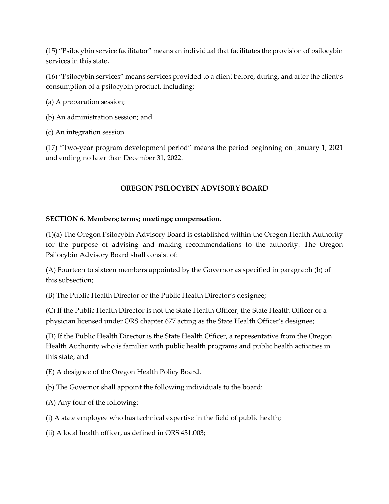(15) "Psilocybin service facilitator" means an individual that facilitates the provision of psilocybin services in this state.

(16) "Psilocybin services" means services provided to a client before, during, and after the client's consumption of a psilocybin product, including:

(a) A preparation session;

(b) An administration session; and

(c) An integration session.

(17) "Two-year program development period" means the period beginning on January 1, 2021 and ending no later than December 31, 2022.

## **OREGON PSILOCYBIN ADVISORY BOARD**

## **SECTION 6. Members; terms; meetings; compensation.**

(1)(a) The Oregon Psilocybin Advisory Board is established within the Oregon Health Authority for the purpose of advising and making recommendations to the authority. The Oregon Psilocybin Advisory Board shall consist of:

(A) Fourteen to sixteen members appointed by the Governor as specified in paragraph (b) of this subsection;

(B) The Public Health Director or the Public Health Director's designee;

(C) If the Public Health Director is not the State Health Officer, the State Health Officer or a physician licensed under ORS chapter 677 acting as the State Health Officer's designee;

(D) If the Public Health Director is the State Health Officer, a representative from the Oregon Health Authority who is familiar with public health programs and public health activities in this state; and

- (E) A designee of the Oregon Health Policy Board.
- (b) The Governor shall appoint the following individuals to the board:
- (A) Any four of the following:
- (i) A state employee who has technical expertise in the field of public health;
- (ii) A local health officer, as defined in ORS 431.003;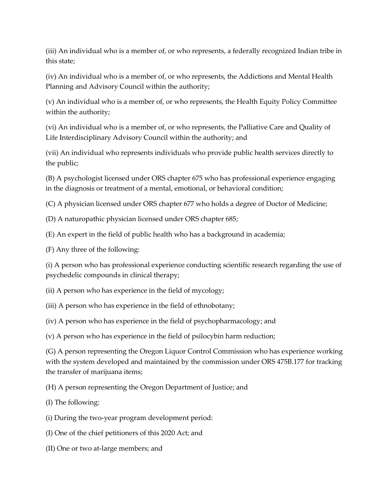(iii) An individual who is a member of, or who represents, a federally recognized Indian tribe in this state;

(iv) An individual who is a member of, or who represents, the Addictions and Mental Health Planning and Advisory Council within the authority;

(v) An individual who is a member of, or who represents, the Health Equity Policy Committee within the authority;

(vi) An individual who is a member of, or who represents, the Palliative Care and Quality of Life Interdisciplinary Advisory Council within the authority; and

(vii) An individual who represents individuals who provide public health services directly to the public;

(B) A psychologist licensed under ORS chapter 675 who has professional experience engaging in the diagnosis or treatment of a mental, emotional, or behavioral condition;

(C) A physician licensed under ORS chapter 677 who holds a degree of Doctor of Medicine;

(D) A naturopathic physician licensed under ORS chapter 685;

(E) An expert in the field of public health who has a background in academia;

(F) Any three of the following:

(i) A person who has professional experience conducting scientific research regarding the use of psychedelic compounds in clinical therapy;

(ii) A person who has experience in the field of mycology;

(iii) A person who has experience in the field of ethnobotany;

(iv) A person who has experience in the field of psychopharmacology; and

(v) A person who has experience in the field of psilocybin harm reduction;

(G) A person representing the Oregon Liquor Control Commission who has experience working with the system developed and maintained by the commission under ORS 475B.177 for tracking the transfer of marijuana items;

(H) A person representing the Oregon Department of Justice; and

(I) The following:

(i) During the two-year program development period:

(I) One of the chief petitioners of this 2020 Act; and

(II) One or two at-large members; and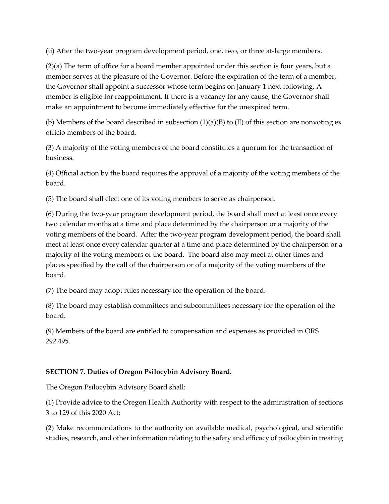(ii) After the two-year program development period, one, two, or three at-large members.

(2)(a) The term of office for a board member appointed under this section is four years, but a member serves at the pleasure of the Governor. Before the expiration of the term of a member, the Governor shall appoint a successor whose term begins on January 1 next following. A member is eligible for reappointment. If there is a vacancy for any cause, the Governor shall make an appointment to become immediately effective for the unexpired term.

(b) Members of the board described in subsection  $(1)(a)(B)$  to  $(E)$  of this section are nonvoting ex officio members of the board.

(3) A majority of the voting members of the board constitutes a quorum for the transaction of business.

(4) Official action by the board requires the approval of a majority of the voting members of the board.

(5) The board shall elect one of its voting members to serve as chairperson.

(6) During the two-year program development period, the board shall meet at least once every two calendar months at a time and place determined by the chairperson or a majority of the voting members of the board. After the two-year program development period, the board shall meet at least once every calendar quarter at a time and place determined by the chairperson or a majority of the voting members of the board. The board also may meet at other times and places specified by the call of the chairperson or of a majority of the voting members of the board.

(7) The board may adopt rules necessary for the operation of the board.

(8) The board may establish committees and subcommittees necessary for the operation of the board.

(9) Members of the board are entitled to compensation and expenses as provided in ORS 292.495.

## **SECTION 7. Duties of Oregon Psilocybin Advisory Board.**

The Oregon Psilocybin Advisory Board shall:

(1) Provide advice to the Oregon Health Authority with respect to the administration of sections 3 to 129 of this 2020 Act;

(2) Make recommendations to the authority on available medical, psychological, and scientific studies, research, and other information relating to the safety and efficacy of psilocybin in treating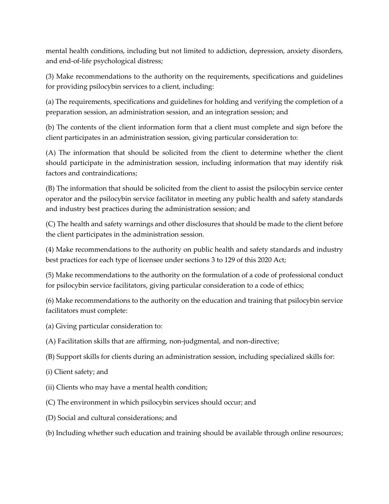mental health conditions, including but not limited to addiction, depression, anxiety disorders, and end-of-life psychological distress;

(3) Make recommendations to the authority on the requirements, specifications and guidelines for providing psilocybin services to a client, including:

(a) The requirements, specifications and guidelines for holding and verifying the completion of a preparation session, an administration session, and an integration session; and

(b) The contents of the client information form that a client must complete and sign before the client participates in an administration session, giving particular consideration to:

(A) The information that should be solicited from the client to determine whether the client should participate in the administration session, including information that may identify risk factors and contraindications;

(B) The information that should be solicited from the client to assist the psilocybin service center operator and the psilocybin service facilitator in meeting any public health and safety standards and industry best practices during the administration session; and

(C) The health and safety warnings and other disclosures that should be made to the client before the client participates in the administration session.

(4) Make recommendations to the authority on public health and safety standards and industry best practices for each type of licensee under sections 3 to 129 of this 2020 Act;

(5) Make recommendations to the authority on the formulation of a code of professional conduct for psilocybin service facilitators, giving particular consideration to a code of ethics;

(6) Make recommendations to the authority on the education and training that psilocybin service facilitators must complete:

- (a) Giving particular consideration to:
- (A) Facilitation skills that are affirming, non-judgmental, and non-directive;
- (B) Support skills for clients during an administration session, including specialized skills for:
- (i) Client safety; and
- (ii) Clients who may have a mental health condition;
- (C) The environment in which psilocybin services should occur; and
- (D) Social and cultural considerations; and
- (b) Including whether such education and training should be available through online resources;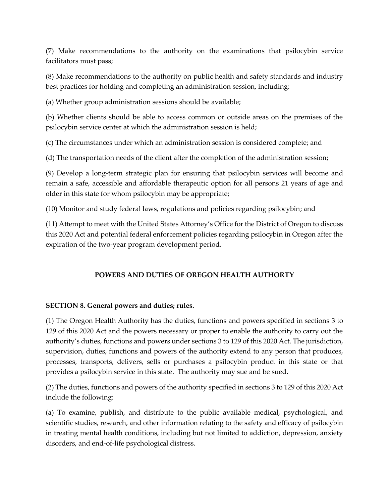(7) Make recommendations to the authority on the examinations that psilocybin service facilitators must pass;

(8) Make recommendations to the authority on public health and safety standards and industry best practices for holding and completing an administration session, including:

(a) Whether group administration sessions should be available;

(b) Whether clients should be able to access common or outside areas on the premises of the psilocybin service center at which the administration session is held;

(c) The circumstances under which an administration session is considered complete; and

(d) The transportation needs of the client after the completion of the administration session;

(9) Develop a long-term strategic plan for ensuring that psilocybin services will become and remain a safe, accessible and affordable therapeutic option for all persons 21 years of age and older in this state for whom psilocybin may be appropriate;

(10) Monitor and study federal laws, regulations and policies regarding psilocybin; and

(11) Attempt to meet with the United States Attorney's Office for the District of Oregon to discuss this 2020 Act and potential federal enforcement policies regarding psilocybin in Oregon after the expiration of the two-year program development period.

## **POWERS AND DUTIES OF OREGON HEALTH AUTHORTY**

## **SECTION 8. General powers and duties; rules.**

(1) The Oregon Health Authority has the duties, functions and powers specified in sections 3 to 129 of this 2020 Act and the powers necessary or proper to enable the authority to carry out the authority's duties, functions and powers under sections 3 to 129 of this 2020 Act. The jurisdiction, supervision, duties, functions and powers of the authority extend to any person that produces, processes, transports, delivers, sells or purchases a psilocybin product in this state or that provides a psilocybin service in this state. The authority may sue and be sued.

(2) The duties, functions and powers of the authority specified in sections 3 to 129 of this 2020 Act include the following:

(a) To examine, publish, and distribute to the public available medical, psychological, and scientific studies, research, and other information relating to the safety and efficacy of psilocybin in treating mental health conditions, including but not limited to addiction, depression, anxiety disorders, and end-of-life psychological distress.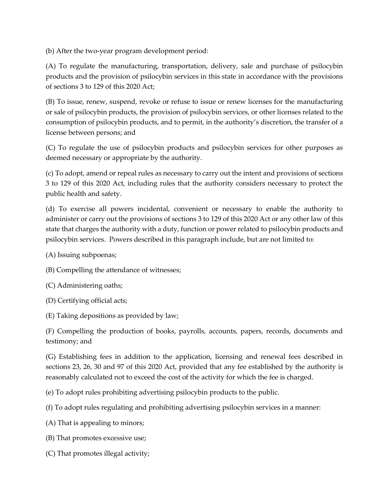(b) After the two-year program development period:

(A) To regulate the manufacturing, transportation, delivery, sale and purchase of psilocybin products and the provision of psilocybin services in this state in accordance with the provisions of sections 3 to 129 of this 2020 Act;

(B) To issue, renew, suspend, revoke or refuse to issue or renew licenses for the manufacturing or sale of psilocybin products, the provision of psilocybin services, or other licenses related to the consumption of psilocybin products, and to permit, in the authority's discretion, the transfer of a license between persons; and

(C) To regulate the use of psilocybin products and psilocybin services for other purposes as deemed necessary or appropriate by the authority.

(c) To adopt, amend or repeal rules as necessary to carry out the intent and provisions of sections 3 to 129 of this 2020 Act, including rules that the authority considers necessary to protect the public health and safety.

(d) To exercise all powers incidental, convenient or necessary to enable the authority to administer or carry out the provisions of sections 3 to 129 of this 2020 Act or any other law of this state that charges the authority with a duty, function or power related to psilocybin products and psilocybin services. Powers described in this paragraph include, but are not limited to:

(A) Issuing subpoenas;

(B) Compelling the attendance of witnesses;

(C) Administering oaths;

(D) Certifying official acts;

(E) Taking depositions as provided by law;

(F) Compelling the production of books, payrolls, accounts, papers, records, documents and testimony; and

(G) Establishing fees in addition to the application, licensing and renewal fees described in sections 23, 26, 30 and 97 of this 2020 Act, provided that any fee established by the authority is reasonably calculated not to exceed the cost of the activity for which the fee is charged.

(e) To adopt rules prohibiting advertising psilocybin products to the public.

(f) To adopt rules regulating and prohibiting advertising psilocybin services in a manner:

(A) That is appealing to minors;

(B) That promotes excessive use;

(C) That promotes illegal activity;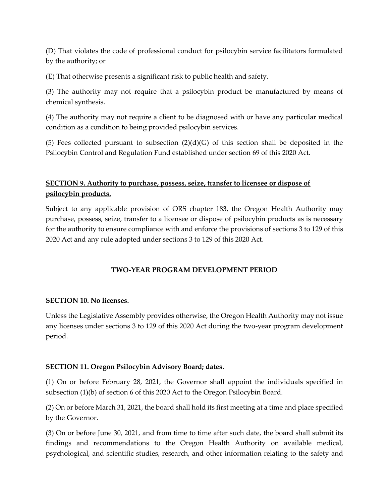(D) That violates the code of professional conduct for psilocybin service facilitators formulated by the authority; or

(E) That otherwise presents a significant risk to public health and safety.

(3) The authority may not require that a psilocybin product be manufactured by means of chemical synthesis.

(4) The authority may not require a client to be diagnosed with or have any particular medical condition as a condition to being provided psilocybin services.

(5) Fees collected pursuant to subsection  $(2)(d)(G)$  of this section shall be deposited in the Psilocybin Control and Regulation Fund established under section 69 of this 2020 Act.

## **SECTION 9. Authority to purchase, possess, seize, transfer to licensee or dispose of psilocybin products.**

Subject to any applicable provision of ORS chapter 183, the Oregon Health Authority may purchase, possess, seize, transfer to a licensee or dispose of psilocybin products as is necessary for the authority to ensure compliance with and enforce the provisions of sections 3 to 129 of this 2020 Act and any rule adopted under sections 3 to 129 of this 2020 Act.

## **TWO-YEAR PROGRAM DEVELOPMENT PERIOD**

## **SECTION 10. No licenses.**

Unless the Legislative Assembly provides otherwise, the Oregon Health Authority may not issue any licenses under sections 3 to 129 of this 2020 Act during the two-year program development period.

## **SECTION 11. Oregon Psilocybin Advisory Board; dates.**

(1) On or before February 28, 2021, the Governor shall appoint the individuals specified in subsection (1)(b) of section 6 of this 2020 Act to the Oregon Psilocybin Board.

(2) On or before March 31, 2021, the board shall hold its first meeting at a time and place specified by the Governor.

(3) On or before June 30, 2021, and from time to time after such date, the board shall submit its findings and recommendations to the Oregon Health Authority on available medical, psychological, and scientific studies, research, and other information relating to the safety and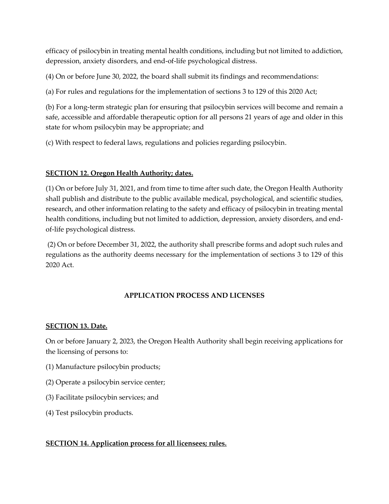efficacy of psilocybin in treating mental health conditions, including but not limited to addiction, depression, anxiety disorders, and end-of-life psychological distress.

(4) On or before June 30, 2022, the board shall submit its findings and recommendations:

(a) For rules and regulations for the implementation of sections 3 to 129 of this 2020 Act;

(b) For a long-term strategic plan for ensuring that psilocybin services will become and remain a safe, accessible and affordable therapeutic option for all persons 21 years of age and older in this state for whom psilocybin may be appropriate; and

(c) With respect to federal laws, regulations and policies regarding psilocybin.

## **SECTION 12. Oregon Health Authority; dates.**

(1) On or before July 31, 2021, and from time to time after such date, the Oregon Health Authority shall publish and distribute to the public available medical, psychological, and scientific studies, research, and other information relating to the safety and efficacy of psilocybin in treating mental health conditions, including but not limited to addiction, depression, anxiety disorders, and endof-life psychological distress.

(2) On or before December 31, 2022, the authority shall prescribe forms and adopt such rules and regulations as the authority deems necessary for the implementation of sections 3 to 129 of this 2020 Act.

## **APPLICATION PROCESS AND LICENSES**

## **SECTION 13. Date.**

On or before January 2, 2023, the Oregon Health Authority shall begin receiving applications for the licensing of persons to:

- (1) Manufacture psilocybin products;
- (2) Operate a psilocybin service center;
- (3) Facilitate psilocybin services; and
- (4) Test psilocybin products.

## **SECTION 14. Application process for all licensees; rules.**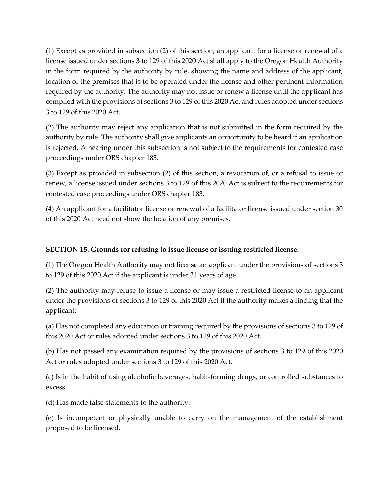(1) Except as provided in subsection (2) of this section, an applicant for a license or renewal of a license issued under sections 3 to 129 of this 2020 Act shall apply to the Oregon Health Authority in the form required by the authority by rule, showing the name and address of the applicant, location of the premises that is to be operated under the license and other pertinent information required by the authority. The authority may not issue or renew a license until the applicant has complied with the provisions of sections 3 to 129 of this 2020 Act and rules adopted under sections 3 to 129 of this 2020 Act.

(2) The authority may reject any application that is not submitted in the form required by the authority by rule. The authority shall give applicants an opportunity to be heard if an application is rejected. A hearing under this subsection is not subject to the requirements for contested case proceedings under ORS chapter 183.

(3) Except as provided in subsection (2) of this section, a revocation of, or a refusal to issue or renew, a license issued under sections 3 to 129 of this 2020 Act is subject to the requirements for contested case proceedings under ORS chapter 183.

(4) An applicant for a facilitator license or renewal of a facilitator license issued under section 30 of this 2020 Act need not show the location of any premises.

### **SECTION 15. Grounds for refusing to issue license or issuing restricted license.**

(1) The Oregon Health Authority may not license an applicant under the provisions of sections 3 to 129 of this 2020 Act if the applicant is under 21 years of age.

(2) The authority may refuse to issue a license or may issue a restricted license to an applicant under the provisions of sections 3 to 129 of this 2020 Act if the authority makes a finding that the applicant:

(a) Has not completed any education or training required by the provisions of sections 3 to 129 of this 2020 Act or rules adopted under sections 3 to 129 of this 2020 Act.

(b) Has not passed any examination required by the provisions of sections 3 to 129 of this 2020 Act or rules adopted under sections 3 to 129 of this 2020 Act.

(c) Is in the habit of using alcoholic beverages, habit-forming drugs, or controlled substances to excess.

(d) Has made false statements to the authority.

(e) Is incompetent or physically unable to carry on the management of the establishment proposed to be licensed.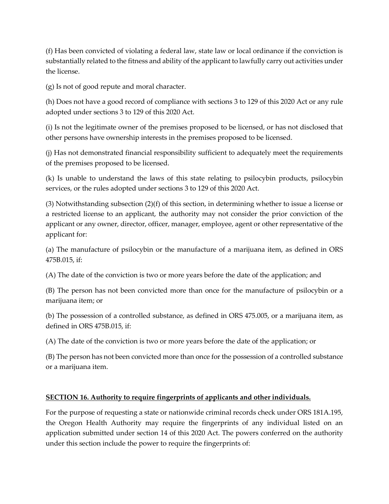(f) Has been convicted of violating a federal law, state law or local ordinance if the conviction is substantially related to the fitness and ability of the applicant to lawfully carry out activities under the license.

(g) Is not of good repute and moral character.

(h) Does not have a good record of compliance with sections 3 to 129 of this 2020 Act or any rule adopted under sections 3 to 129 of this 2020 Act.

(i) Is not the legitimate owner of the premises proposed to be licensed, or has not disclosed that other persons have ownership interests in the premises proposed to be licensed.

(j) Has not demonstrated financial responsibility sufficient to adequately meet the requirements of the premises proposed to be licensed.

(k) Is unable to understand the laws of this state relating to psilocybin products, psilocybin services, or the rules adopted under sections 3 to 129 of this 2020 Act.

(3) Notwithstanding subsection (2)(f) of this section, in determining whether to issue a license or a restricted license to an applicant, the authority may not consider the prior conviction of the applicant or any owner, director, officer, manager, employee, agent or other representative of the applicant for:

(a) The manufacture of psilocybin or the manufacture of a marijuana item, as defined in ORS 475B.015, if:

(A) The date of the conviction is two or more years before the date of the application; and

(B) The person has not been convicted more than once for the manufacture of psilocybin or a marijuana item; or

(b) The possession of a controlled substance, as defined in ORS 475.005, or a marijuana item, as defined in ORS 475B.015, if:

(A) The date of the conviction is two or more years before the date of the application; or

(B) The person has not been convicted more than once for the possession of a controlled substance or a marijuana item.

## **SECTION 16. Authority to require fingerprints of applicants and other individuals.**

For the purpose of requesting a state or nationwide criminal records check under ORS 181A.195, the Oregon Health Authority may require the fingerprints of any individual listed on an application submitted under section 14 of this 2020 Act. The powers conferred on the authority under this section include the power to require the fingerprints of: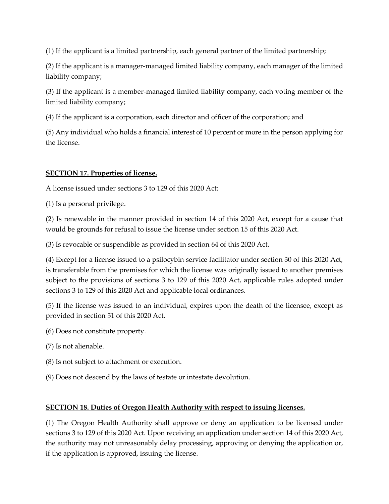(1) If the applicant is a limited partnership, each general partner of the limited partnership;

(2) If the applicant is a manager-managed limited liability company, each manager of the limited liability company;

(3) If the applicant is a member-managed limited liability company, each voting member of the limited liability company;

(4) If the applicant is a corporation, each director and officer of the corporation; and

(5) Any individual who holds a financial interest of 10 percent or more in the person applying for the license.

## **SECTION 17. Properties of license.**

A license issued under sections 3 to 129 of this 2020 Act:

(1) Is a personal privilege.

(2) Is renewable in the manner provided in section 14 of this 2020 Act, except for a cause that would be grounds for refusal to issue the license under section 15 of this 2020 Act.

(3) Is revocable or suspendible as provided in section 64 of this 2020 Act.

(4) Except for a license issued to a psilocybin service facilitator under section 30 of this 2020 Act, is transferable from the premises for which the license was originally issued to another premises subject to the provisions of sections 3 to 129 of this 2020 Act, applicable rules adopted under sections 3 to 129 of this 2020 Act and applicable local ordinances.

(5) If the license was issued to an individual, expires upon the death of the licensee, except as provided in section 51 of this 2020 Act.

- (6) Does not constitute property.
- (7) Is not alienable.
- (8) Is not subject to attachment or execution.
- (9) Does not descend by the laws of testate or intestate devolution.

## **SECTION 18. Duties of Oregon Health Authority with respect to issuing licenses.**

(1) The Oregon Health Authority shall approve or deny an application to be licensed under sections 3 to 129 of this 2020 Act. Upon receiving an application under section 14 of this 2020 Act, the authority may not unreasonably delay processing, approving or denying the application or, if the application is approved, issuing the license.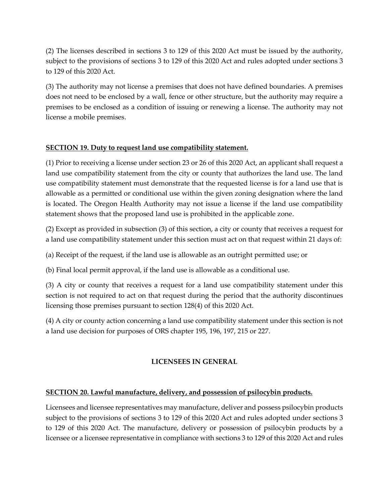(2) The licenses described in sections 3 to 129 of this 2020 Act must be issued by the authority, subject to the provisions of sections 3 to 129 of this 2020 Act and rules adopted under sections 3 to 129 of this 2020 Act.

(3) The authority may not license a premises that does not have defined boundaries. A premises does not need to be enclosed by a wall, fence or other structure, but the authority may require a premises to be enclosed as a condition of issuing or renewing a license. The authority may not license a mobile premises.

## **SECTION 19. Duty to request land use compatibility statement.**

(1) Prior to receiving a license under section 23 or 26 of this 2020 Act, an applicant shall request a land use compatibility statement from the city or county that authorizes the land use. The land use compatibility statement must demonstrate that the requested license is for a land use that is allowable as a permitted or conditional use within the given zoning designation where the land is located. The Oregon Health Authority may not issue a license if the land use compatibility statement shows that the proposed land use is prohibited in the applicable zone.

(2) Except as provided in subsection (3) of this section, a city or county that receives a request for a land use compatibility statement under this section must act on that request within 21 days of:

(a) Receipt of the request, if the land use is allowable as an outright permitted use; or

(b) Final local permit approval, if the land use is allowable as a conditional use.

(3) A city or county that receives a request for a land use compatibility statement under this section is not required to act on that request during the period that the authority discontinues licensing those premises pursuant to section 128(4) of this 2020 Act.

(4) A city or county action concerning a land use compatibility statement under this section is not a land use decision for purposes of ORS chapter 195, 196, 197, 215 or 227.

## **LICENSEES IN GENERAL**

## **SECTION 20. Lawful manufacture, delivery, and possession of psilocybin products.**

Licensees and licensee representatives may manufacture, deliver and possess psilocybin products subject to the provisions of sections 3 to 129 of this 2020 Act and rules adopted under sections 3 to 129 of this 2020 Act. The manufacture, delivery or possession of psilocybin products by a licensee or a licensee representative in compliance with sections 3 to 129 of this 2020 Act and rules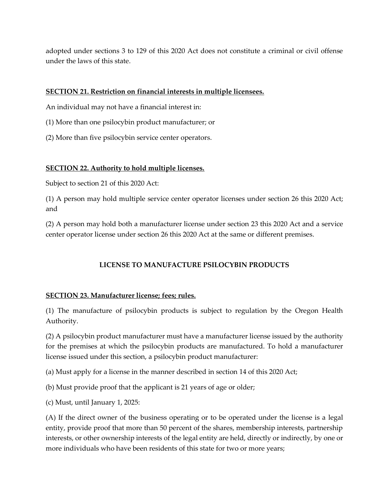adopted under sections 3 to 129 of this 2020 Act does not constitute a criminal or civil offense under the laws of this state.

#### **SECTION 21. Restriction on financial interests in multiple licensees.**

An individual may not have a financial interest in:

- (1) More than one psilocybin product manufacturer; or
- (2) More than five psilocybin service center operators.

### **SECTION 22. Authority to hold multiple licenses.**

Subject to section 21 of this 2020 Act:

(1) A person may hold multiple service center operator licenses under section 26 this 2020 Act; and

(2) A person may hold both a manufacturer license under section 23 this 2020 Act and a service center operator license under section 26 this 2020 Act at the same or different premises.

## **LICENSE TO MANUFACTURE PSILOCYBIN PRODUCTS**

#### **SECTION 23. Manufacturer license; fees; rules.**

(1) The manufacture of psilocybin products is subject to regulation by the Oregon Health Authority.

(2) A psilocybin product manufacturer must have a manufacturer license issued by the authority for the premises at which the psilocybin products are manufactured. To hold a manufacturer license issued under this section, a psilocybin product manufacturer:

(a) Must apply for a license in the manner described in section 14 of this 2020 Act;

(b) Must provide proof that the applicant is 21 years of age or older;

(c) Must, until January 1, 2025:

(A) If the direct owner of the business operating or to be operated under the license is a legal entity, provide proof that more than 50 percent of the shares, membership interests, partnership interests, or other ownership interests of the legal entity are held, directly or indirectly, by one or more individuals who have been residents of this state for two or more years;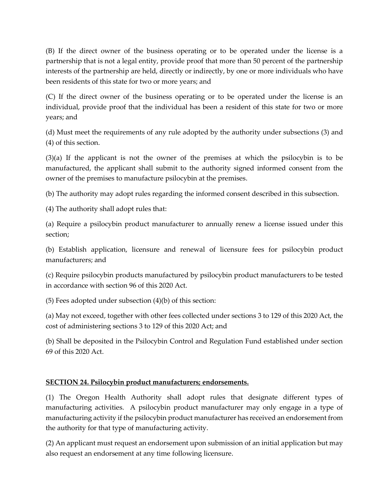(B) If the direct owner of the business operating or to be operated under the license is a partnership that is not a legal entity, provide proof that more than 50 percent of the partnership interests of the partnership are held, directly or indirectly, by one or more individuals who have been residents of this state for two or more years; and

(C) If the direct owner of the business operating or to be operated under the license is an individual, provide proof that the individual has been a resident of this state for two or more years; and

(d) Must meet the requirements of any rule adopted by the authority under subsections (3) and (4) of this section.

(3)(a) If the applicant is not the owner of the premises at which the psilocybin is to be manufactured, the applicant shall submit to the authority signed informed consent from the owner of the premises to manufacture psilocybin at the premises.

(b) The authority may adopt rules regarding the informed consent described in this subsection.

(4) The authority shall adopt rules that:

(a) Require a psilocybin product manufacturer to annually renew a license issued under this section;

(b) Establish application, licensure and renewal of licensure fees for psilocybin product manufacturers; and

(c) Require psilocybin products manufactured by psilocybin product manufacturers to be tested in accordance with section 96 of this 2020 Act.

(5) Fees adopted under subsection (4)(b) of this section:

(a) May not exceed, together with other fees collected under sections 3 to 129 of this 2020 Act, the cost of administering sections 3 to 129 of this 2020 Act; and

(b) Shall be deposited in the Psilocybin Control and Regulation Fund established under section 69 of this 2020 Act.

## **SECTION 24. Psilocybin product manufacturers; endorsements.**

(1) The Oregon Health Authority shall adopt rules that designate different types of manufacturing activities. A psilocybin product manufacturer may only engage in a type of manufacturing activity if the psilocybin product manufacturer has received an endorsement from the authority for that type of manufacturing activity.

(2) An applicant must request an endorsement upon submission of an initial application but may also request an endorsement at any time following licensure.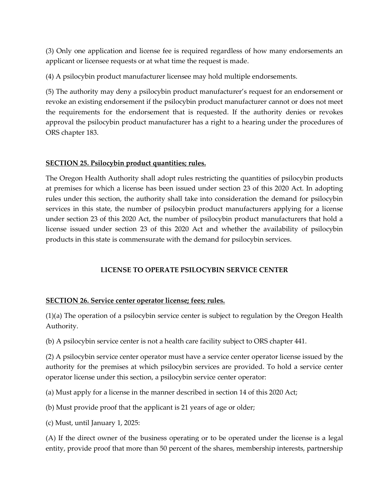(3) Only one application and license fee is required regardless of how many endorsements an applicant or licensee requests or at what time the request is made.

(4) A psilocybin product manufacturer licensee may hold multiple endorsements.

(5) The authority may deny a psilocybin product manufacturer's request for an endorsement or revoke an existing endorsement if the psilocybin product manufacturer cannot or does not meet the requirements for the endorsement that is requested. If the authority denies or revokes approval the psilocybin product manufacturer has a right to a hearing under the procedures of ORS chapter 183.

## **SECTION 25. Psilocybin product quantities; rules.**

The Oregon Health Authority shall adopt rules restricting the quantities of psilocybin products at premises for which a license has been issued under section 23 of this 2020 Act. In adopting rules under this section, the authority shall take into consideration the demand for psilocybin services in this state, the number of psilocybin product manufacturers applying for a license under section 23 of this 2020 Act, the number of psilocybin product manufacturers that hold a license issued under section 23 of this 2020 Act and whether the availability of psilocybin products in this state is commensurate with the demand for psilocybin services.

## **LICENSE TO OPERATE PSILOCYBIN SERVICE CENTER**

## **SECTION 26. Service center operator license; fees; rules.**

(1)(a) The operation of a psilocybin service center is subject to regulation by the Oregon Health Authority.

(b) A psilocybin service center is not a health care facility subject to ORS chapter 441.

(2) A psilocybin service center operator must have a service center operator license issued by the authority for the premises at which psilocybin services are provided. To hold a service center operator license under this section, a psilocybin service center operator:

(a) Must apply for a license in the manner described in section 14 of this 2020 Act;

(b) Must provide proof that the applicant is 21 years of age or older;

(c) Must, until January 1, 2025:

(A) If the direct owner of the business operating or to be operated under the license is a legal entity, provide proof that more than 50 percent of the shares, membership interests, partnership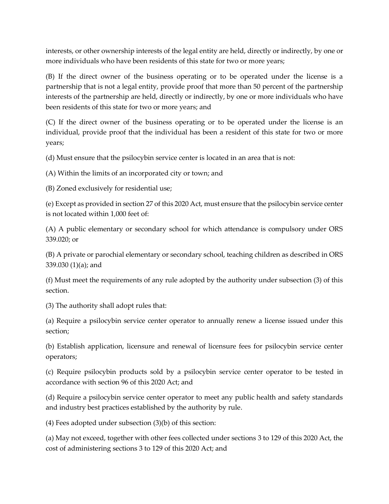interests, or other ownership interests of the legal entity are held, directly or indirectly, by one or more individuals who have been residents of this state for two or more years;

(B) If the direct owner of the business operating or to be operated under the license is a partnership that is not a legal entity, provide proof that more than 50 percent of the partnership interests of the partnership are held, directly or indirectly, by one or more individuals who have been residents of this state for two or more years; and

(C) If the direct owner of the business operating or to be operated under the license is an individual, provide proof that the individual has been a resident of this state for two or more years;

(d) Must ensure that the psilocybin service center is located in an area that is not:

(A) Within the limits of an incorporated city or town; and

(B) Zoned exclusively for residential use;

(e) Except as provided in section 27 of this 2020 Act, must ensure that the psilocybin service center is not located within 1,000 feet of:

(A) A public elementary or secondary school for which attendance is compulsory under ORS 339.020; or

(B) A private or parochial elementary or secondary school, teaching children as described in ORS 339.030 (1)(a); and

(f) Must meet the requirements of any rule adopted by the authority under subsection (3) of this section.

(3) The authority shall adopt rules that:

(a) Require a psilocybin service center operator to annually renew a license issued under this section;

(b) Establish application, licensure and renewal of licensure fees for psilocybin service center operators;

(c) Require psilocybin products sold by a psilocybin service center operator to be tested in accordance with section 96 of this 2020 Act; and

(d) Require a psilocybin service center operator to meet any public health and safety standards and industry best practices established by the authority by rule.

(4) Fees adopted under subsection (3)(b) of this section:

(a) May not exceed, together with other fees collected under sections 3 to 129 of this 2020 Act, the cost of administering sections 3 to 129 of this 2020 Act; and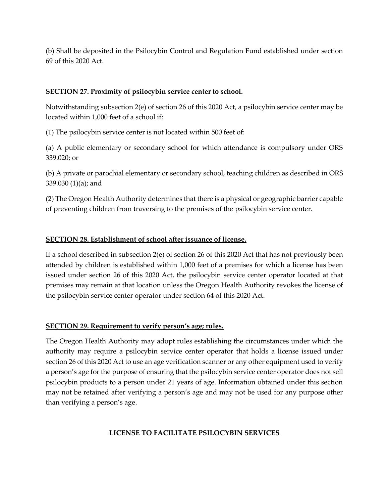(b) Shall be deposited in the Psilocybin Control and Regulation Fund established under section 69 of this 2020 Act.

#### **SECTION 27. Proximity of psilocybin service center to school.**

Notwithstanding subsection 2(e) of section 26 of this 2020 Act, a psilocybin service center may be located within 1,000 feet of a school if:

(1) The psilocybin service center is not located within 500 feet of:

(a) A public elementary or secondary school for which attendance is compulsory under ORS 339.020; or

(b) A private or parochial elementary or secondary school, teaching children as described in ORS 339.030 (1)(a); and

(2) The Oregon Health Authority determines that there is a physical or geographic barrier capable of preventing children from traversing to the premises of the psilocybin service center.

### **SECTION 28. Establishment of school after issuance of license.**

If a school described in subsection 2(e) of section 26 of this 2020 Act that has not previously been attended by children is established within 1,000 feet of a premises for which a license has been issued under section 26 of this 2020 Act, the psilocybin service center operator located at that premises may remain at that location unless the Oregon Health Authority revokes the license of the psilocybin service center operator under section 64 of this 2020 Act.

#### **SECTION 29. Requirement to verify person's age; rules.**

The Oregon Health Authority may adopt rules establishing the circumstances under which the authority may require a psilocybin service center operator that holds a license issued under section 26 of this 2020 Act to use an age verification scanner or any other equipment used to verify a person's age for the purpose of ensuring that the psilocybin service center operator does not sell psilocybin products to a person under 21 years of age. Information obtained under this section may not be retained after verifying a person's age and may not be used for any purpose other than verifying a person's age.

## **LICENSE TO FACILITATE PSILOCYBIN SERVICES**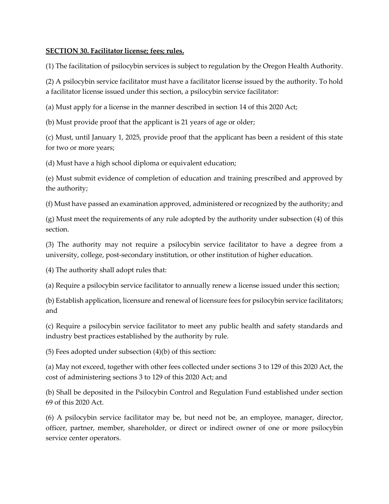#### **SECTION 30. Facilitator license; fees; rules.**

(1) The facilitation of psilocybin services is subject to regulation by the Oregon Health Authority.

(2) A psilocybin service facilitator must have a facilitator license issued by the authority. To hold a facilitator license issued under this section, a psilocybin service facilitator:

(a) Must apply for a license in the manner described in section 14 of this 2020 Act;

(b) Must provide proof that the applicant is 21 years of age or older;

(c) Must, until January 1, 2025, provide proof that the applicant has been a resident of this state for two or more years;

(d) Must have a high school diploma or equivalent education;

(e) Must submit evidence of completion of education and training prescribed and approved by the authority;

(f) Must have passed an examination approved, administered or recognized by the authority; and

(g) Must meet the requirements of any rule adopted by the authority under subsection (4) of this section.

(3) The authority may not require a psilocybin service facilitator to have a degree from a university, college, post-secondary institution, or other institution of higher education.

(4) The authority shall adopt rules that:

(a) Require a psilocybin service facilitator to annually renew a license issued under this section;

(b) Establish application, licensure and renewal of licensure fees for psilocybin service facilitators; and

(c) Require a psilocybin service facilitator to meet any public health and safety standards and industry best practices established by the authority by rule.

(5) Fees adopted under subsection (4)(b) of this section:

(a) May not exceed, together with other fees collected under sections 3 to 129 of this 2020 Act, the cost of administering sections 3 to 129 of this 2020 Act; and

(b) Shall be deposited in the Psilocybin Control and Regulation Fund established under section 69 of this 2020 Act.

(6) A psilocybin service facilitator may be, but need not be, an employee, manager, director, officer, partner, member, shareholder, or direct or indirect owner of one or more psilocybin service center operators.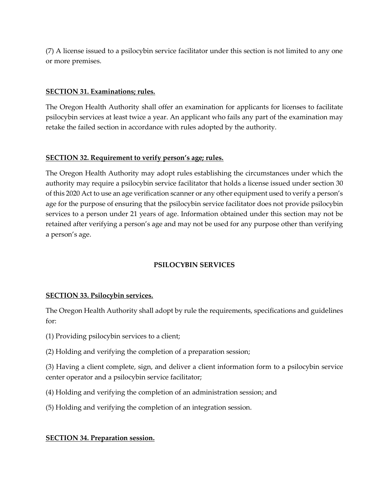(7) A license issued to a psilocybin service facilitator under this section is not limited to any one or more premises.

#### **SECTION 31. Examinations; rules.**

The Oregon Health Authority shall offer an examination for applicants for licenses to facilitate psilocybin services at least twice a year. An applicant who fails any part of the examination may retake the failed section in accordance with rules adopted by the authority.

#### **SECTION 32. Requirement to verify person's age; rules.**

The Oregon Health Authority may adopt rules establishing the circumstances under which the authority may require a psilocybin service facilitator that holds a license issued under section 30 of this 2020 Act to use an age verification scanner or any other equipment used to verify a person's age for the purpose of ensuring that the psilocybin service facilitator does not provide psilocybin services to a person under 21 years of age. Information obtained under this section may not be retained after verifying a person's age and may not be used for any purpose other than verifying a person's age.

#### **PSILOCYBIN SERVICES**

#### **SECTION 33. Psilocybin services.**

The Oregon Health Authority shall adopt by rule the requirements, specifications and guidelines for:

- (1) Providing psilocybin services to a client;
- (2) Holding and verifying the completion of a preparation session;

(3) Having a client complete, sign, and deliver a client information form to a psilocybin service center operator and a psilocybin service facilitator;

- (4) Holding and verifying the completion of an administration session; and
- (5) Holding and verifying the completion of an integration session.

#### **SECTION 34. Preparation session.**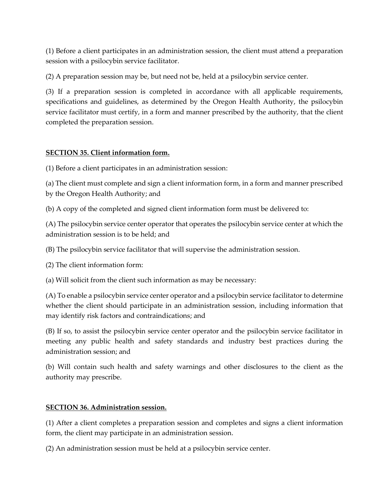(1) Before a client participates in an administration session, the client must attend a preparation session with a psilocybin service facilitator.

(2) A preparation session may be, but need not be, held at a psilocybin service center.

(3) If a preparation session is completed in accordance with all applicable requirements, specifications and guidelines, as determined by the Oregon Health Authority, the psilocybin service facilitator must certify, in a form and manner prescribed by the authority, that the client completed the preparation session.

## **SECTION 35. Client information form.**

(1) Before a client participates in an administration session:

(a) The client must complete and sign a client information form, in a form and manner prescribed by the Oregon Health Authority; and

(b) A copy of the completed and signed client information form must be delivered to:

(A) The psilocybin service center operator that operates the psilocybin service center at which the administration session is to be held; and

(B) The psilocybin service facilitator that will supervise the administration session.

(2) The client information form:

(a) Will solicit from the client such information as may be necessary:

(A) To enable a psilocybin service center operator and a psilocybin service facilitator to determine whether the client should participate in an administration session, including information that may identify risk factors and contraindications; and

(B) If so, to assist the psilocybin service center operator and the psilocybin service facilitator in meeting any public health and safety standards and industry best practices during the administration session; and

(b) Will contain such health and safety warnings and other disclosures to the client as the authority may prescribe.

## **SECTION 36. Administration session.**

(1) After a client completes a preparation session and completes and signs a client information form, the client may participate in an administration session.

(2) An administration session must be held at a psilocybin service center.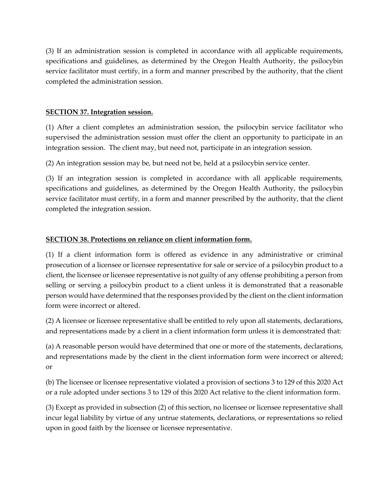(3) If an administration session is completed in accordance with all applicable requirements, specifications and guidelines, as determined by the Oregon Health Authority, the psilocybin service facilitator must certify, in a form and manner prescribed by the authority, that the client completed the administration session.

#### **SECTION 37. Integration session.**

(1) After a client completes an administration session, the psilocybin service facilitator who supervised the administration session must offer the client an opportunity to participate in an integration session. The client may, but need not, participate in an integration session.

(2) An integration session may be, but need not be, held at a psilocybin service center.

(3) If an integration session is completed in accordance with all applicable requirements, specifications and guidelines, as determined by the Oregon Health Authority, the psilocybin service facilitator must certify, in a form and manner prescribed by the authority, that the client completed the integration session.

## **SECTION 38. Protections on reliance on client information form.**

(1) If a client information form is offered as evidence in any administrative or criminal prosecution of a licensee or licensee representative for sale or service of a psilocybin product to a client, the licensee or licensee representative is not guilty of any offense prohibiting a person from selling or serving a psilocybin product to a client unless it is demonstrated that a reasonable person would have determined that the responses provided by the client on the client information form were incorrect or altered.

(2) A licensee or licensee representative shall be entitled to rely upon all statements, declarations, and representations made by a client in a client information form unless it is demonstrated that:

(a) A reasonable person would have determined that one or more of the statements, declarations, and representations made by the client in the client information form were incorrect or altered; or

(b) The licensee or licensee representative violated a provision of sections 3 to 129 of this 2020 Act or a rule adopted under sections 3 to 129 of this 2020 Act relative to the client information form.

(3) Except as provided in subsection (2) of this section, no licensee or licensee representative shall incur legal liability by virtue of any untrue statements, declarations, or representations so relied upon in good faith by the licensee or licensee representative.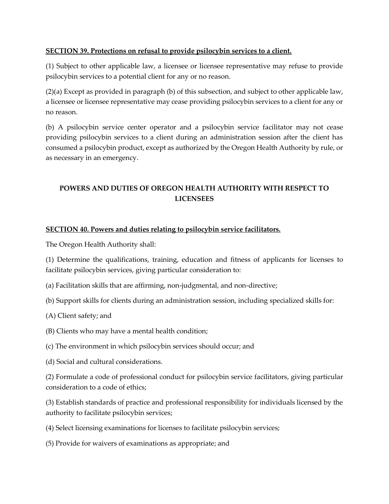## **SECTION 39. Protections on refusal to provide psilocybin services to a client.**

(1) Subject to other applicable law, a licensee or licensee representative may refuse to provide psilocybin services to a potential client for any or no reason.

(2)(a) Except as provided in paragraph (b) of this subsection, and subject to other applicable law, a licensee or licensee representative may cease providing psilocybin services to a client for any or no reason.

(b) A psilocybin service center operator and a psilocybin service facilitator may not cease providing psilocybin services to a client during an administration session after the client has consumed a psilocybin product, except as authorized by the Oregon Health Authority by rule, or as necessary in an emergency.

## **POWERS AND DUTIES OF OREGON HEALTH AUTHORITY WITH RESPECT TO LICENSEES**

## **SECTION 40. Powers and duties relating to psilocybin service facilitators.**

The Oregon Health Authority shall:

(1) Determine the qualifications, training, education and fitness of applicants for licenses to facilitate psilocybin services, giving particular consideration to:

- (a) Facilitation skills that are affirming, non-judgmental, and non-directive;
- (b) Support skills for clients during an administration session, including specialized skills for:
- (A) Client safety; and
- (B) Clients who may have a mental health condition;
- (c) The environment in which psilocybin services should occur; and
- (d) Social and cultural considerations.

(2) Formulate a code of professional conduct for psilocybin service facilitators, giving particular consideration to a code of ethics;

(3) Establish standards of practice and professional responsibility for individuals licensed by the authority to facilitate psilocybin services;

- (4) Select licensing examinations for licenses to facilitate psilocybin services;
- (5) Provide for waivers of examinations as appropriate; and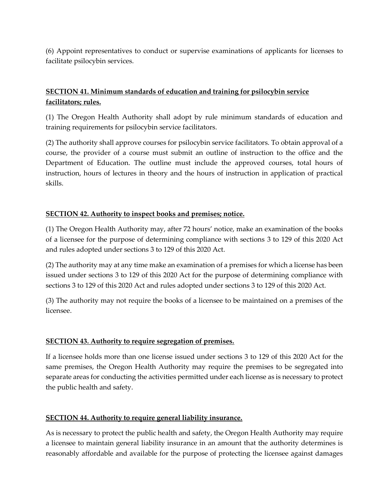(6) Appoint representatives to conduct or supervise examinations of applicants for licenses to facilitate psilocybin services.

## **SECTION 41. Minimum standards of education and training for psilocybin service facilitators; rules.**

(1) The Oregon Health Authority shall adopt by rule minimum standards of education and training requirements for psilocybin service facilitators.

(2) The authority shall approve courses for psilocybin service facilitators. To obtain approval of a course, the provider of a course must submit an outline of instruction to the office and the Department of Education. The outline must include the approved courses, total hours of instruction, hours of lectures in theory and the hours of instruction in application of practical skills.

## **SECTION 42. Authority to inspect books and premises; notice.**

(1) The Oregon Health Authority may, after 72 hours' notice, make an examination of the books of a licensee for the purpose of determining compliance with sections 3 to 129 of this 2020 Act and rules adopted under sections 3 to 129 of this 2020 Act.

(2) The authority may at any time make an examination of a premises for which a license has been issued under sections 3 to 129 of this 2020 Act for the purpose of determining compliance with sections 3 to 129 of this 2020 Act and rules adopted under sections 3 to 129 of this 2020 Act.

(3) The authority may not require the books of a licensee to be maintained on a premises of the licensee.

## **SECTION 43. Authority to require segregation of premises.**

If a licensee holds more than one license issued under sections 3 to 129 of this 2020 Act for the same premises, the Oregon Health Authority may require the premises to be segregated into separate areas for conducting the activities permitted under each license as is necessary to protect the public health and safety.

## **SECTION 44. Authority to require general liability insurance.**

As is necessary to protect the public health and safety, the Oregon Health Authority may require a licensee to maintain general liability insurance in an amount that the authority determines is reasonably affordable and available for the purpose of protecting the licensee against damages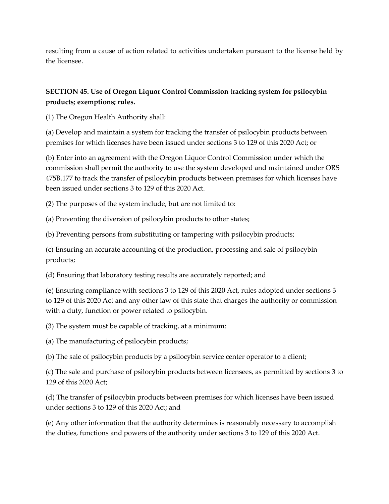resulting from a cause of action related to activities undertaken pursuant to the license held by the licensee.

## **SECTION 45. Use of Oregon Liquor Control Commission tracking system for psilocybin products; exemptions; rules.**

(1) The Oregon Health Authority shall:

(a) Develop and maintain a system for tracking the transfer of psilocybin products between premises for which licenses have been issued under sections 3 to 129 of this 2020 Act; or

(b) Enter into an agreement with the Oregon Liquor Control Commission under which the commission shall permit the authority to use the system developed and maintained under ORS 475B.177 to track the transfer of psilocybin products between premises for which licenses have been issued under sections 3 to 129 of this 2020 Act.

(2) The purposes of the system include, but are not limited to:

(a) Preventing the diversion of psilocybin products to other states;

(b) Preventing persons from substituting or tampering with psilocybin products;

(c) Ensuring an accurate accounting of the production, processing and sale of psilocybin products;

(d) Ensuring that laboratory testing results are accurately reported; and

(e) Ensuring compliance with sections 3 to 129 of this 2020 Act, rules adopted under sections 3 to 129 of this 2020 Act and any other law of this state that charges the authority or commission with a duty, function or power related to psilocybin.

(3) The system must be capable of tracking, at a minimum:

(a) The manufacturing of psilocybin products;

(b) The sale of psilocybin products by a psilocybin service center operator to a client;

(c) The sale and purchase of psilocybin products between licensees, as permitted by sections 3 to 129 of this 2020 Act;

(d) The transfer of psilocybin products between premises for which licenses have been issued under sections 3 to 129 of this 2020 Act; and

(e) Any other information that the authority determines is reasonably necessary to accomplish the duties, functions and powers of the authority under sections 3 to 129 of this 2020 Act.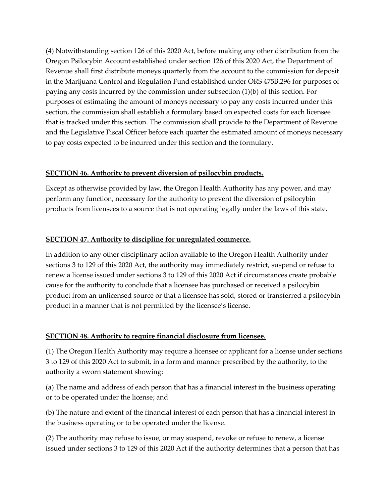(4) Notwithstanding section 126 of this 2020 Act, before making any other distribution from the Oregon Psilocybin Account established under section 126 of this 2020 Act, the Department of Revenue shall first distribute moneys quarterly from the account to the commission for deposit in the Marijuana Control and Regulation Fund established under ORS 475B.296 for purposes of paying any costs incurred by the commission under subsection (1)(b) of this section. For purposes of estimating the amount of moneys necessary to pay any costs incurred under this section, the commission shall establish a formulary based on expected costs for each licensee that is tracked under this section. The commission shall provide to the Department of Revenue and the Legislative Fiscal Officer before each quarter the estimated amount of moneys necessary to pay costs expected to be incurred under this section and the formulary.

## **SECTION 46. Authority to prevent diversion of psilocybin products.**

Except as otherwise provided by law, the Oregon Health Authority has any power, and may perform any function, necessary for the authority to prevent the diversion of psilocybin products from licensees to a source that is not operating legally under the laws of this state.

## **SECTION 47. Authority to discipline for unregulated commerce.**

In addition to any other disciplinary action available to the Oregon Health Authority under sections 3 to 129 of this 2020 Act, the authority may immediately restrict, suspend or refuse to renew a license issued under sections 3 to 129 of this 2020 Act if circumstances create probable cause for the authority to conclude that a licensee has purchased or received a psilocybin product from an unlicensed source or that a licensee has sold, stored or transferred a psilocybin product in a manner that is not permitted by the licensee's license.

## **SECTION 48. Authority to require financial disclosure from licensee.**

(1) The Oregon Health Authority may require a licensee or applicant for a license under sections 3 to 129 of this 2020 Act to submit, in a form and manner prescribed by the authority, to the authority a sworn statement showing:

(a) The name and address of each person that has a financial interest in the business operating or to be operated under the license; and

(b) The nature and extent of the financial interest of each person that has a financial interest in the business operating or to be operated under the license.

(2) The authority may refuse to issue, or may suspend, revoke or refuse to renew, a license issued under sections 3 to 129 of this 2020 Act if the authority determines that a person that has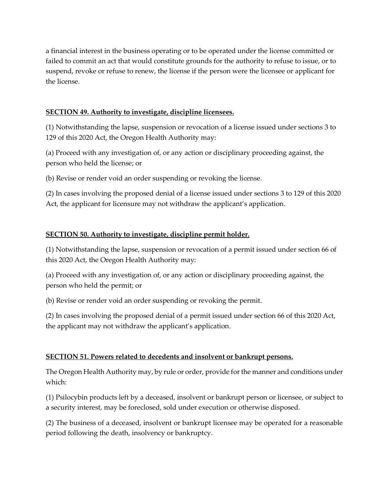a financial interest in the business operating or to be operated under the license committed or failed to commit an act that would constitute grounds for the authority to refuse to issue, or to suspend, revoke or refuse to renew, the license if the person were the licensee or applicant for the license.

### **SECTION 49. Authority to investigate, discipline licensees.**

(1) Notwithstanding the lapse, suspension or revocation of a license issued under sections 3 to 129 of this 2020 Act, the Oregon Health Authority may:

(a) Proceed with any investigation of, or any action or disciplinary proceeding against, the person who held the license; or

(b) Revise or render void an order suspending or revoking the license.

(2) In cases involving the proposed denial of a license issued under sections 3 to 129 of this 2020 Act, the applicant for licensure may not withdraw the applicant's application.

### **SECTION 50. Authority to investigate, discipline permit holder.**

(1) Notwithstanding the lapse, suspension or revocation of a permit issued under section 66 of this 2020 Act, the Oregon Health Authority may:

(a) Proceed with any investigation of, or any action or disciplinary proceeding against, the person who held the permit; or

(b) Revise or render void an order suspending or revoking the permit.

(2) In cases involving the proposed denial of a permit issued under section 66 of this 2020 Act, the applicant may not withdraw the applicant's application.

#### **SECTION 51. Powers related to decedents and insolvent or bankrupt persons.**

The Oregon Health Authority may, by rule or order, provide for the manner and conditions under which:

(1) Psilocybin products left by a deceased, insolvent or bankrupt person or licensee, or subject to a security interest, may be foreclosed, sold under execution or otherwise disposed.

(2) The business of a deceased, insolvent or bankrupt licensee may be operated for a reasonable period following the death, insolvency or bankruptcy.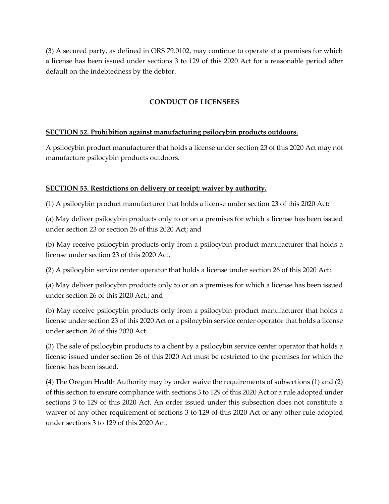(3) A secured party, as defined in ORS 79.0102, may continue to operate at a premises for which a license has been issued under sections 3 to 129 of this 2020 Act for a reasonable period after default on the indebtedness by the debtor.

## **CONDUCT OF LICENSEES**

### **SECTION 52. Prohibition against manufacturing psilocybin products outdoors.**

A psilocybin product manufacturer that holds a license under section 23 of this 2020 Act may not manufacture psilocybin products outdoors.

## **SECTION 53. Restrictions on delivery or receipt; waiver by authority.**

(1) A psilocybin product manufacturer that holds a license under section 23 of this 2020 Act:

(a) May deliver psilocybin products only to or on a premises for which a license has been issued under section 23 or section 26 of this 2020 Act; and

(b) May receive psilocybin products only from a psilocybin product manufacturer that holds a license under section 23 of this 2020 Act.

(2) A psilocybin service center operator that holds a license under section 26 of this 2020 Act:

(a) May deliver psilocybin products only to or on a premises for which a license has been issued under section 26 of this 2020 Act.; and

(b) May receive psilocybin products only from a psilocybin product manufacturer that holds a license under section 23 of this 2020 Act or a psilocybin service center operator that holds a license under section 26 of this 2020 Act.

(3) The sale of psilocybin products to a client by a psilocybin service center operator that holds a license issued under section 26 of this 2020 Act must be restricted to the premises for which the license has been issued.

(4) The Oregon Health Authority may by order waive the requirements of subsections (1) and (2) of this section to ensure compliance with sections 3 to 129 of this 2020 Act or a rule adopted under sections 3 to 129 of this 2020 Act. An order issued under this subsection does not constitute a waiver of any other requirement of sections 3 to 129 of this 2020 Act or any other rule adopted under sections 3 to 129 of this 2020 Act.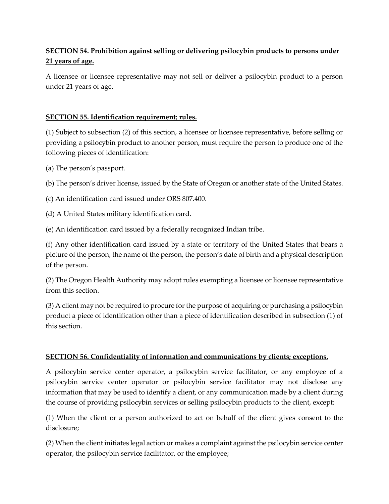# **SECTION 54. Prohibition against selling or delivering psilocybin products to persons under 21 years of age.**

A licensee or licensee representative may not sell or deliver a psilocybin product to a person under 21 years of age.

## **SECTION 55. Identification requirement; rules.**

(1) Subject to subsection (2) of this section, a licensee or licensee representative, before selling or providing a psilocybin product to another person, must require the person to produce one of the following pieces of identification:

(a) The person's passport.

(b) The person's driver license, issued by the State of Oregon or another state of the United States.

(c) An identification card issued under ORS 807.400.

(d) A United States military identification card.

(e) An identification card issued by a federally recognized Indian tribe.

(f) Any other identification card issued by a state or territory of the United States that bears a picture of the person, the name of the person, the person's date of birth and a physical description of the person.

(2) The Oregon Health Authority may adopt rules exempting a licensee or licensee representative from this section.

(3) A client may not be required to procure for the purpose of acquiring or purchasing a psilocybin product a piece of identification other than a piece of identification described in subsection (1) of this section.

## **SECTION 56. Confidentiality of information and communications by clients; exceptions.**

A psilocybin service center operator, a psilocybin service facilitator, or any employee of a psilocybin service center operator or psilocybin service facilitator may not disclose any information that may be used to identify a client, or any communication made by a client during the course of providing psilocybin services or selling psilocybin products to the client, except:

(1) When the client or a person authorized to act on behalf of the client gives consent to the disclosure;

(2) When the client initiates legal action or makes a complaint against the psilocybin service center operator, the psilocybin service facilitator, or the employee;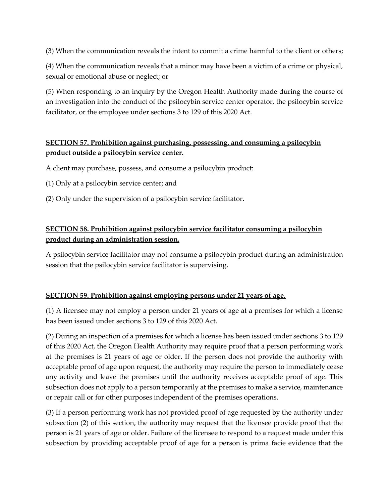(3) When the communication reveals the intent to commit a crime harmful to the client or others;

(4) When the communication reveals that a minor may have been a victim of a crime or physical, sexual or emotional abuse or neglect; or

(5) When responding to an inquiry by the Oregon Health Authority made during the course of an investigation into the conduct of the psilocybin service center operator, the psilocybin service facilitator, or the employee under sections 3 to 129 of this 2020 Act.

## **SECTION 57. Prohibition against purchasing, possessing, and consuming a psilocybin product outside a psilocybin service center.**

A client may purchase, possess, and consume a psilocybin product:

- (1) Only at a psilocybin service center; and
- (2) Only under the supervision of a psilocybin service facilitator.

## **SECTION 58. Prohibition against psilocybin service facilitator consuming a psilocybin product during an administration session.**

A psilocybin service facilitator may not consume a psilocybin product during an administration session that the psilocybin service facilitator is supervising.

## **SECTION 59. Prohibition against employing persons under 21 years of age.**

(1) A licensee may not employ a person under 21 years of age at a premises for which a license has been issued under sections 3 to 129 of this 2020 Act.

(2) During an inspection of a premises for which a license has been issued under sections 3 to 129 of this 2020 Act, the Oregon Health Authority may require proof that a person performing work at the premises is 21 years of age or older. If the person does not provide the authority with acceptable proof of age upon request, the authority may require the person to immediately cease any activity and leave the premises until the authority receives acceptable proof of age. This subsection does not apply to a person temporarily at the premises to make a service, maintenance or repair call or for other purposes independent of the premises operations.

(3) If a person performing work has not provided proof of age requested by the authority under subsection (2) of this section, the authority may request that the licensee provide proof that the person is 21 years of age or older. Failure of the licensee to respond to a request made under this subsection by providing acceptable proof of age for a person is prima facie evidence that the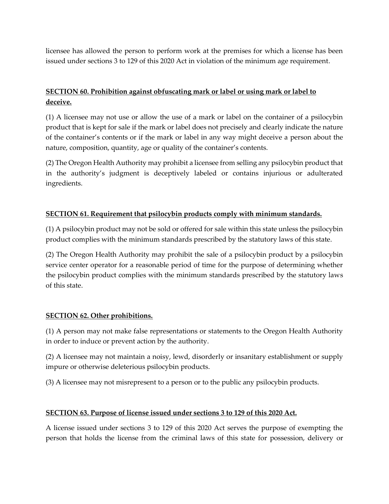licensee has allowed the person to perform work at the premises for which a license has been issued under sections 3 to 129 of this 2020 Act in violation of the minimum age requirement.

## **SECTION 60. Prohibition against obfuscating mark or label or using mark or label to deceive.**

(1) A licensee may not use or allow the use of a mark or label on the container of a psilocybin product that is kept for sale if the mark or label does not precisely and clearly indicate the nature of the container's contents or if the mark or label in any way might deceive a person about the nature, composition, quantity, age or quality of the container's contents.

(2) The Oregon Health Authority may prohibit a licensee from selling any psilocybin product that in the authority's judgment is deceptively labeled or contains injurious or adulterated ingredients.

## **SECTION 61. Requirement that psilocybin products comply with minimum standards.**

(1) A psilocybin product may not be sold or offered for sale within this state unless the psilocybin product complies with the minimum standards prescribed by the statutory laws of this state.

(2) The Oregon Health Authority may prohibit the sale of a psilocybin product by a psilocybin service center operator for a reasonable period of time for the purpose of determining whether the psilocybin product complies with the minimum standards prescribed by the statutory laws of this state.

## **SECTION 62. Other prohibitions.**

(1) A person may not make false representations or statements to the Oregon Health Authority in order to induce or prevent action by the authority.

(2) A licensee may not maintain a noisy, lewd, disorderly or insanitary establishment or supply impure or otherwise deleterious psilocybin products.

(3) A licensee may not misrepresent to a person or to the public any psilocybin products.

## **SECTION 63. Purpose of license issued under sections 3 to 129 of this 2020 Act.**

A license issued under sections 3 to 129 of this 2020 Act serves the purpose of exempting the person that holds the license from the criminal laws of this state for possession, delivery or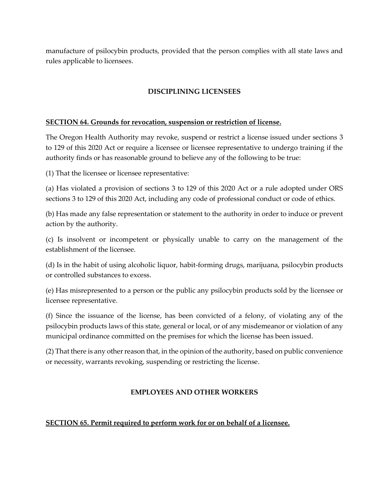manufacture of psilocybin products, provided that the person complies with all state laws and rules applicable to licensees.

## **DISCIPLINING LICENSEES**

### **SECTION 64. Grounds for revocation, suspension or restriction of license.**

The Oregon Health Authority may revoke, suspend or restrict a license issued under sections 3 to 129 of this 2020 Act or require a licensee or licensee representative to undergo training if the authority finds or has reasonable ground to believe any of the following to be true:

(1) That the licensee or licensee representative:

(a) Has violated a provision of sections 3 to 129 of this 2020 Act or a rule adopted under ORS sections 3 to 129 of this 2020 Act, including any code of professional conduct or code of ethics.

(b) Has made any false representation or statement to the authority in order to induce or prevent action by the authority.

(c) Is insolvent or incompetent or physically unable to carry on the management of the establishment of the licensee.

(d) Is in the habit of using alcoholic liquor, habit-forming drugs, marijuana, psilocybin products or controlled substances to excess.

(e) Has misrepresented to a person or the public any psilocybin products sold by the licensee or licensee representative.

(f) Since the issuance of the license, has been convicted of a felony, of violating any of the psilocybin products laws of this state, general or local, or of any misdemeanor or violation of any municipal ordinance committed on the premises for which the license has been issued.

(2) That there is any other reason that, in the opinion of the authority, based on public convenience or necessity, warrants revoking, suspending or restricting the license.

## **EMPLOYEES AND OTHER WORKERS**

## **SECTION 65. Permit required to perform work for or on behalf of a licensee.**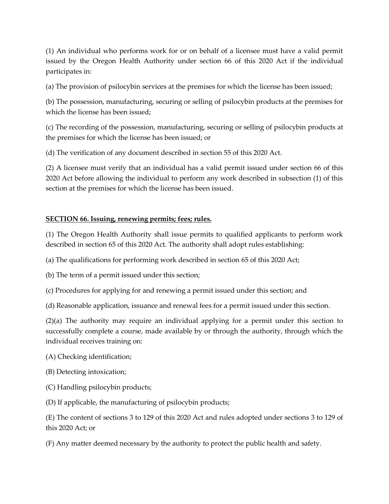(1) An individual who performs work for or on behalf of a licensee must have a valid permit issued by the Oregon Health Authority under section 66 of this 2020 Act if the individual participates in:

(a) The provision of psilocybin services at the premises for which the license has been issued;

(b) The possession, manufacturing, securing or selling of psilocybin products at the premises for which the license has been issued;

(c) The recording of the possession, manufacturing, securing or selling of psilocybin products at the premises for which the license has been issued; or

(d) The verification of any document described in section 55 of this 2020 Act.

(2) A licensee must verify that an individual has a valid permit issued under section 66 of this 2020 Act before allowing the individual to perform any work described in subsection (1) of this section at the premises for which the license has been issued.

## **SECTION 66. Issuing, renewing permits; fees; rules.**

(1) The Oregon Health Authority shall issue permits to qualified applicants to perform work described in section 65 of this 2020 Act. The authority shall adopt rules establishing:

(a) The qualifications for performing work described in section 65 of this 2020 Act;

(b) The term of a permit issued under this section;

(c) Procedures for applying for and renewing a permit issued under this section; and

(d) Reasonable application, issuance and renewal fees for a permit issued under this section.

(2)(a) The authority may require an individual applying for a permit under this section to successfully complete a course, made available by or through the authority, through which the individual receives training on:

(A) Checking identification;

- (B) Detecting intoxication;
- (C) Handling psilocybin products;

(D) If applicable, the manufacturing of psilocybin products;

(E) The content of sections 3 to 129 of this 2020 Act and rules adopted under sections 3 to 129 of this 2020 Act; or

(F) Any matter deemed necessary by the authority to protect the public health and safety.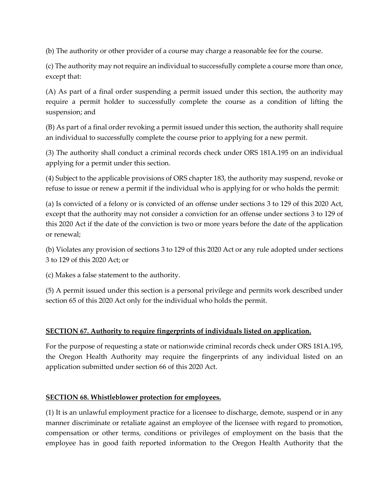(b) The authority or other provider of a course may charge a reasonable fee for the course.

(c) The authority may not require an individual to successfully complete a course more than once, except that:

(A) As part of a final order suspending a permit issued under this section, the authority may require a permit holder to successfully complete the course as a condition of lifting the suspension; and

(B) As part of a final order revoking a permit issued under this section, the authority shall require an individual to successfully complete the course prior to applying for a new permit.

(3) The authority shall conduct a criminal records check under ORS 181A.195 on an individual applying for a permit under this section.

(4) Subject to the applicable provisions of ORS chapter 183, the authority may suspend, revoke or refuse to issue or renew a permit if the individual who is applying for or who holds the permit:

(a) Is convicted of a felony or is convicted of an offense under sections 3 to 129 of this 2020 Act, except that the authority may not consider a conviction for an offense under sections 3 to 129 of this 2020 Act if the date of the conviction is two or more years before the date of the application or renewal;

(b) Violates any provision of sections 3 to 129 of this 2020 Act or any rule adopted under sections 3 to 129 of this 2020 Act; or

(c) Makes a false statement to the authority.

(5) A permit issued under this section is a personal privilege and permits work described under section 65 of this 2020 Act only for the individual who holds the permit.

## **SECTION 67. Authority to require fingerprints of individuals listed on application.**

For the purpose of requesting a state or nationwide criminal records check under ORS 181A.195, the Oregon Health Authority may require the fingerprints of any individual listed on an application submitted under section 66 of this 2020 Act.

## **SECTION 68. Whistleblower protection for employees.**

(1) It is an unlawful employment practice for a licensee to discharge, demote, suspend or in any manner discriminate or retaliate against an employee of the licensee with regard to promotion, compensation or other terms, conditions or privileges of employment on the basis that the employee has in good faith reported information to the Oregon Health Authority that the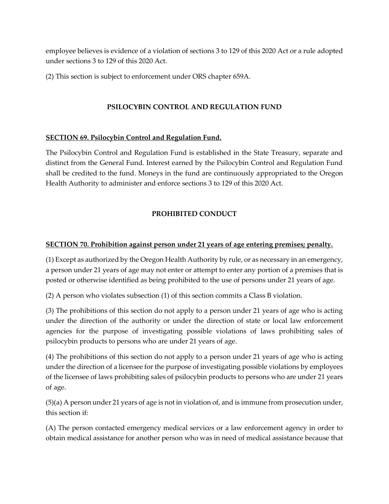employee believes is evidence of a violation of sections 3 to 129 of this 2020 Act or a rule adopted under sections 3 to 129 of this 2020 Act.

(2) This section is subject to enforcement under ORS chapter 659A.

## **PSILOCYBIN CONTROL AND REGULATION FUND**

## **SECTION 69. Psilocybin Control and Regulation Fund.**

The Psilocybin Control and Regulation Fund is established in the State Treasury, separate and distinct from the General Fund. Interest earned by the Psilocybin Control and Regulation Fund shall be credited to the fund. Moneys in the fund are continuously appropriated to the Oregon Health Authority to administer and enforce sections 3 to 129 of this 2020 Act.

## **PROHIBITED CONDUCT**

### **SECTION 70. Prohibition against person under 21 years of age entering premises; penalty.**

(1) Except as authorized by the Oregon Health Authority by rule, or as necessary in an emergency, a person under 21 years of age may not enter or attempt to enter any portion of a premises that is posted or otherwise identified as being prohibited to the use of persons under 21 years of age.

(2) A person who violates subsection (1) of this section commits a Class B violation.

(3) The prohibitions of this section do not apply to a person under 21 years of age who is acting under the direction of the authority or under the direction of state or local law enforcement agencies for the purpose of investigating possible violations of laws prohibiting sales of psilocybin products to persons who are under 21 years of age.

(4) The prohibitions of this section do not apply to a person under 21 years of age who is acting under the direction of a licensee for the purpose of investigating possible violations by employees of the licensee of laws prohibiting sales of psilocybin products to persons who are under 21 years of age.

(5)(a) A person under 21 years of age is not in violation of, and is immune from prosecution under, this section if:

(A) The person contacted emergency medical services or a law enforcement agency in order to obtain medical assistance for another person who was in need of medical assistance because that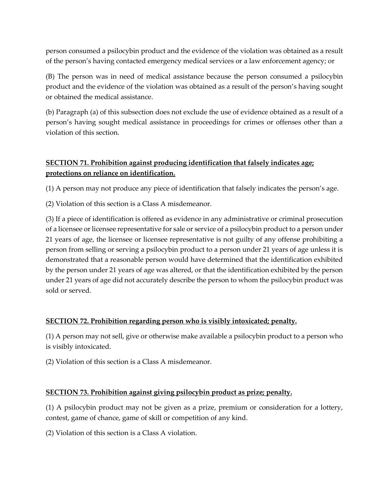person consumed a psilocybin product and the evidence of the violation was obtained as a result of the person's having contacted emergency medical services or a law enforcement agency; or

(B) The person was in need of medical assistance because the person consumed a psilocybin product and the evidence of the violation was obtained as a result of the person's having sought or obtained the medical assistance.

(b) Paragraph (a) of this subsection does not exclude the use of evidence obtained as a result of a person's having sought medical assistance in proceedings for crimes or offenses other than a violation of this section.

## **SECTION 71. Prohibition against producing identification that falsely indicates age; protections on reliance on identification.**

(1) A person may not produce any piece of identification that falsely indicates the person's age.

(2) Violation of this section is a Class A misdemeanor.

(3) If a piece of identification is offered as evidence in any administrative or criminal prosecution of a licensee or licensee representative for sale or service of a psilocybin product to a person under 21 years of age, the licensee or licensee representative is not guilty of any offense prohibiting a person from selling or serving a psilocybin product to a person under 21 years of age unless it is demonstrated that a reasonable person would have determined that the identification exhibited by the person under 21 years of age was altered, or that the identification exhibited by the person under 21 years of age did not accurately describe the person to whom the psilocybin product was sold or served.

## **SECTION 72. Prohibition regarding person who is visibly intoxicated; penalty.**

(1) A person may not sell, give or otherwise make available a psilocybin product to a person who is visibly intoxicated.

(2) Violation of this section is a Class A misdemeanor.

## **SECTION 73. Prohibition against giving psilocybin product as prize; penalty.**

(1) A psilocybin product may not be given as a prize, premium or consideration for a lottery, contest, game of chance, game of skill or competition of any kind.

(2) Violation of this section is a Class A violation.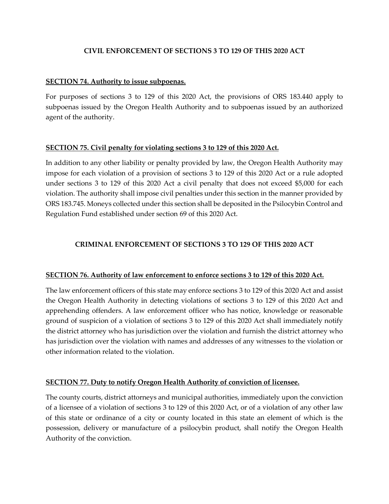### **CIVIL ENFORCEMENT OF SECTIONS 3 TO 129 OF THIS 2020 ACT**

#### **SECTION 74. Authority to issue subpoenas.**

For purposes of sections 3 to 129 of this 2020 Act, the provisions of ORS 183.440 apply to subpoenas issued by the Oregon Health Authority and to subpoenas issued by an authorized agent of the authority.

#### **SECTION 75. Civil penalty for violating sections 3 to 129 of this 2020 Act.**

In addition to any other liability or penalty provided by law, the Oregon Health Authority may impose for each violation of a provision of sections 3 to 129 of this 2020 Act or a rule adopted under sections 3 to 129 of this 2020 Act a civil penalty that does not exceed \$5,000 for each violation. The authority shall impose civil penalties under this section in the manner provided by ORS 183.745. Moneys collected under this section shall be deposited in the Psilocybin Control and Regulation Fund established under section 69 of this 2020 Act.

### **CRIMINAL ENFORCEMENT OF SECTIONS 3 TO 129 OF THIS 2020 ACT**

#### **SECTION 76. Authority of law enforcement to enforce sections 3 to 129 of this 2020 Act.**

The law enforcement officers of this state may enforce sections 3 to 129 of this 2020 Act and assist the Oregon Health Authority in detecting violations of sections 3 to 129 of this 2020 Act and apprehending offenders. A law enforcement officer who has notice, knowledge or reasonable ground of suspicion of a violation of sections 3 to 129 of this 2020 Act shall immediately notify the district attorney who has jurisdiction over the violation and furnish the district attorney who has jurisdiction over the violation with names and addresses of any witnesses to the violation or other information related to the violation.

#### **SECTION 77. Duty to notify Oregon Health Authority of conviction of licensee.**

The county courts, district attorneys and municipal authorities, immediately upon the conviction of a licensee of a violation of sections 3 to 129 of this 2020 Act, or of a violation of any other law of this state or ordinance of a city or county located in this state an element of which is the possession, delivery or manufacture of a psilocybin product, shall notify the Oregon Health Authority of the conviction.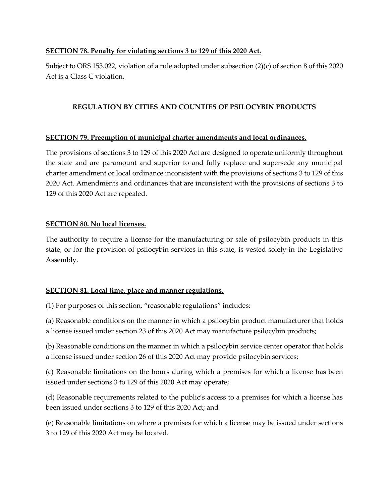### **SECTION 78. Penalty for violating sections 3 to 129 of this 2020 Act.**

Subject to ORS 153.022, violation of a rule adopted under subsection (2)(c) of section 8 of this 2020 Act is a Class C violation.

### **REGULATION BY CITIES AND COUNTIES OF PSILOCYBIN PRODUCTS**

### **SECTION 79. Preemption of municipal charter amendments and local ordinances.**

The provisions of sections 3 to 129 of this 2020 Act are designed to operate uniformly throughout the state and are paramount and superior to and fully replace and supersede any municipal charter amendment or local ordinance inconsistent with the provisions of sections 3 to 129 of this 2020 Act. Amendments and ordinances that are inconsistent with the provisions of sections 3 to 129 of this 2020 Act are repealed.

### **SECTION 80. No local licenses.**

The authority to require a license for the manufacturing or sale of psilocybin products in this state, or for the provision of psilocybin services in this state, is vested solely in the Legislative Assembly.

## **SECTION 81. Local time, place and manner regulations.**

(1) For purposes of this section, "reasonable regulations" includes:

(a) Reasonable conditions on the manner in which a psilocybin product manufacturer that holds a license issued under section 23 of this 2020 Act may manufacture psilocybin products;

(b) Reasonable conditions on the manner in which a psilocybin service center operator that holds a license issued under section 26 of this 2020 Act may provide psilocybin services;

(c) Reasonable limitations on the hours during which a premises for which a license has been issued under sections 3 to 129 of this 2020 Act may operate;

(d) Reasonable requirements related to the public's access to a premises for which a license has been issued under sections 3 to 129 of this 2020 Act; and

(e) Reasonable limitations on where a premises for which a license may be issued under sections 3 to 129 of this 2020 Act may be located.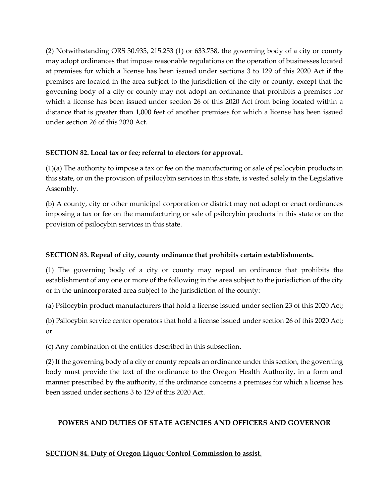(2) Notwithstanding ORS 30.935, 215.253 (1) or 633.738, the governing body of a city or county may adopt ordinances that impose reasonable regulations on the operation of businesses located at premises for which a license has been issued under sections 3 to 129 of this 2020 Act if the premises are located in the area subject to the jurisdiction of the city or county, except that the governing body of a city or county may not adopt an ordinance that prohibits a premises for which a license has been issued under section 26 of this 2020 Act from being located within a distance that is greater than 1,000 feet of another premises for which a license has been issued under section 26 of this 2020 Act.

## **SECTION 82. Local tax or fee; referral to electors for approval.**

(1)(a) The authority to impose a tax or fee on the manufacturing or sale of psilocybin products in this state, or on the provision of psilocybin services in this state, is vested solely in the Legislative Assembly.

(b) A county, city or other municipal corporation or district may not adopt or enact ordinances imposing a tax or fee on the manufacturing or sale of psilocybin products in this state or on the provision of psilocybin services in this state.

## **SECTION 83. Repeal of city, county ordinance that prohibits certain establishments.**

(1) The governing body of a city or county may repeal an ordinance that prohibits the establishment of any one or more of the following in the area subject to the jurisdiction of the city or in the unincorporated area subject to the jurisdiction of the county:

(a) Psilocybin product manufacturers that hold a license issued under section 23 of this 2020 Act;

(b) Psilocybin service center operators that hold a license issued under section 26 of this 2020 Act; or

(c) Any combination of the entities described in this subsection.

(2) If the governing body of a city or county repeals an ordinance under this section, the governing body must provide the text of the ordinance to the Oregon Health Authority, in a form and manner prescribed by the authority, if the ordinance concerns a premises for which a license has been issued under sections 3 to 129 of this 2020 Act.

## **POWERS AND DUTIES OF STATE AGENCIES AND OFFICERS AND GOVERNOR**

## **SECTION 84. Duty of Oregon Liquor Control Commission to assist.**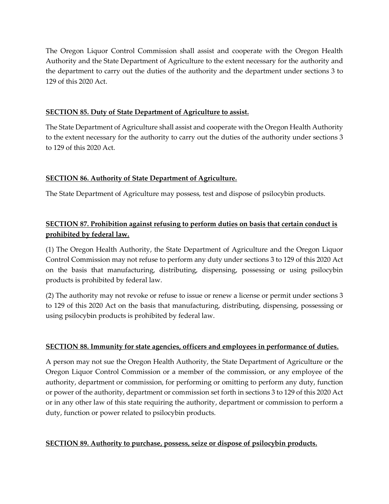The Oregon Liquor Control Commission shall assist and cooperate with the Oregon Health Authority and the State Department of Agriculture to the extent necessary for the authority and the department to carry out the duties of the authority and the department under sections 3 to 129 of this 2020 Act.

### **SECTION 85. Duty of State Department of Agriculture to assist.**

The State Department of Agriculture shall assist and cooperate with the Oregon Health Authority to the extent necessary for the authority to carry out the duties of the authority under sections 3 to 129 of this 2020 Act.

### **SECTION 86. Authority of State Department of Agriculture.**

The State Department of Agriculture may possess, test and dispose of psilocybin products.

# **SECTION 87. Prohibition against refusing to perform duties on basis that certain conduct is prohibited by federal law.**

(1) The Oregon Health Authority, the State Department of Agriculture and the Oregon Liquor Control Commission may not refuse to perform any duty under sections 3 to 129 of this 2020 Act on the basis that manufacturing, distributing, dispensing, possessing or using psilocybin products is prohibited by federal law.

(2) The authority may not revoke or refuse to issue or renew a license or permit under sections 3 to 129 of this 2020 Act on the basis that manufacturing, distributing, dispensing, possessing or using psilocybin products is prohibited by federal law.

### **SECTION 88. Immunity for state agencies, officers and employees in performance of duties.**

A person may not sue the Oregon Health Authority, the State Department of Agriculture or the Oregon Liquor Control Commission or a member of the commission, or any employee of the authority, department or commission, for performing or omitting to perform any duty, function or power of the authority, department or commission set forth in sections 3 to 129 of this 2020 Act or in any other law of this state requiring the authority, department or commission to perform a duty, function or power related to psilocybin products.

#### **SECTION 89. Authority to purchase, possess, seize or dispose of psilocybin products.**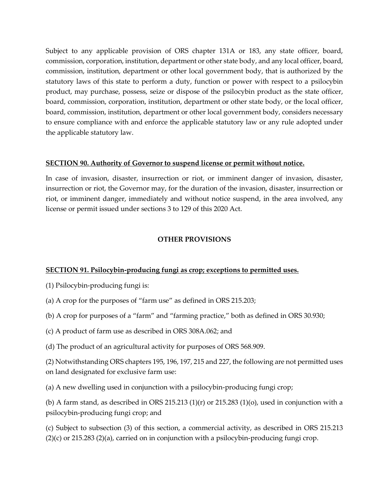Subject to any applicable provision of ORS chapter 131A or 183, any state officer, board, commission, corporation, institution, department or other state body, and any local officer, board, commission, institution, department or other local government body, that is authorized by the statutory laws of this state to perform a duty, function or power with respect to a psilocybin product, may purchase, possess, seize or dispose of the psilocybin product as the state officer, board, commission, corporation, institution, department or other state body, or the local officer, board, commission, institution, department or other local government body, considers necessary to ensure compliance with and enforce the applicable statutory law or any rule adopted under the applicable statutory law.

#### **SECTION 90. Authority of Governor to suspend license or permit without notice.**

In case of invasion, disaster, insurrection or riot, or imminent danger of invasion, disaster, insurrection or riot, the Governor may, for the duration of the invasion, disaster, insurrection or riot, or imminent danger, immediately and without notice suspend, in the area involved, any license or permit issued under sections 3 to 129 of this 2020 Act.

### **OTHER PROVISIONS**

## **SECTION 91. Psilocybin-producing fungi as crop; exceptions to permitted uses.**

(1) Psilocybin-producing fungi is:

- (a) A crop for the purposes of "farm use" as defined in ORS 215.203;
- (b) A crop for purposes of a "farm" and "farming practice," both as defined in ORS 30.930;
- (c) A product of farm use as described in ORS 308A.062; and
- (d) The product of an agricultural activity for purposes of ORS 568.909.

(2) Notwithstanding ORS chapters 195, 196, 197, 215 and 227, the following are not permitted uses on land designated for exclusive farm use:

(a) A new dwelling used in conjunction with a psilocybin-producing fungi crop;

(b) A farm stand, as described in ORS 215.213 (1)(r) or 215.283 (1)(o), used in conjunction with a psilocybin-producing fungi crop; and

(c) Subject to subsection (3) of this section, a commercial activity, as described in ORS 215.213  $(2)(c)$  or 215.283  $(2)(a)$ , carried on in conjunction with a psilocybin-producing fungi crop.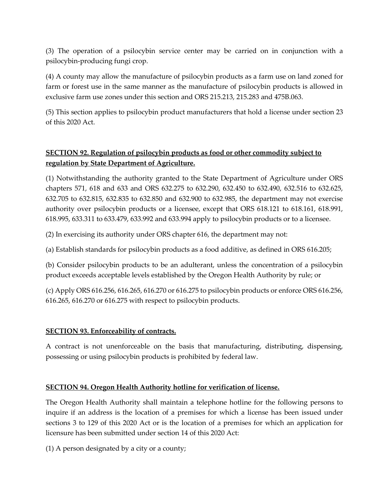(3) The operation of a psilocybin service center may be carried on in conjunction with a psilocybin-producing fungi crop.

(4) A county may allow the manufacture of psilocybin products as a farm use on land zoned for farm or forest use in the same manner as the manufacture of psilocybin products is allowed in exclusive farm use zones under this section and ORS 215.213, 215.283 and 475B.063.

(5) This section applies to psilocybin product manufacturers that hold a license under section 23 of this 2020 Act.

## **SECTION 92. Regulation of psilocybin products as food or other commodity subject to regulation by State Department of Agriculture.**

(1) Notwithstanding the authority granted to the State Department of Agriculture under ORS chapters 571, 618 and 633 and ORS 632.275 to 632.290, 632.450 to 632.490, 632.516 to 632.625, 632.705 to 632.815, 632.835 to 632.850 and 632.900 to 632.985, the department may not exercise authority over psilocybin products or a licensee, except that ORS 618.121 to 618.161, 618.991, 618.995, 633.311 to 633.479, 633.992 and 633.994 apply to psilocybin products or to a licensee.

(2) In exercising its authority under ORS chapter 616, the department may not:

(a) Establish standards for psilocybin products as a food additive, as defined in ORS 616.205;

(b) Consider psilocybin products to be an adulterant, unless the concentration of a psilocybin product exceeds acceptable levels established by the Oregon Health Authority by rule; or

(c) Apply ORS 616.256, 616.265, 616.270 or 616.275 to psilocybin products or enforce ORS 616.256, 616.265, 616.270 or 616.275 with respect to psilocybin products.

#### **SECTION 93. Enforceability of contracts.**

A contract is not unenforceable on the basis that manufacturing, distributing, dispensing, possessing or using psilocybin products is prohibited by federal law.

## **SECTION 94. Oregon Health Authority hotline for verification of license.**

The Oregon Health Authority shall maintain a telephone hotline for the following persons to inquire if an address is the location of a premises for which a license has been issued under sections 3 to 129 of this 2020 Act or is the location of a premises for which an application for licensure has been submitted under section 14 of this 2020 Act:

(1) A person designated by a city or a county;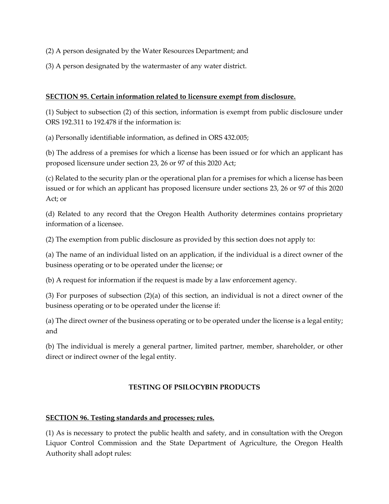- (2) A person designated by the Water Resources Department; and
- (3) A person designated by the watermaster of any water district.

#### **SECTION 95. Certain information related to licensure exempt from disclosure.**

(1) Subject to subsection (2) of this section, information is exempt from public disclosure under ORS 192.311 to 192.478 if the information is:

(a) Personally identifiable information, as defined in ORS 432.005;

(b) The address of a premises for which a license has been issued or for which an applicant has proposed licensure under section 23, 26 or 97 of this 2020 Act;

(c) Related to the security plan or the operational plan for a premises for which a license has been issued or for which an applicant has proposed licensure under sections 23, 26 or 97 of this 2020 Act; or

(d) Related to any record that the Oregon Health Authority determines contains proprietary information of a licensee.

(2) The exemption from public disclosure as provided by this section does not apply to:

(a) The name of an individual listed on an application, if the individual is a direct owner of the business operating or to be operated under the license; or

(b) A request for information if the request is made by a law enforcement agency.

(3) For purposes of subsection (2)(a) of this section, an individual is not a direct owner of the business operating or to be operated under the license if:

(a) The direct owner of the business operating or to be operated under the license is a legal entity; and

(b) The individual is merely a general partner, limited partner, member, shareholder, or other direct or indirect owner of the legal entity.

## **TESTING OF PSILOCYBIN PRODUCTS**

#### **SECTION 96. Testing standards and processes; rules.**

(1) As is necessary to protect the public health and safety, and in consultation with the Oregon Liquor Control Commission and the State Department of Agriculture, the Oregon Health Authority shall adopt rules: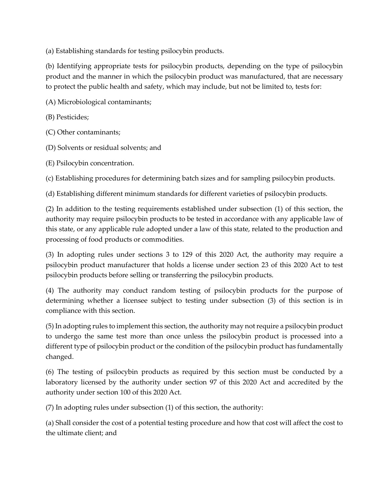(a) Establishing standards for testing psilocybin products.

(b) Identifying appropriate tests for psilocybin products, depending on the type of psilocybin product and the manner in which the psilocybin product was manufactured, that are necessary to protect the public health and safety, which may include, but not be limited to, tests for:

(A) Microbiological contaminants;

(B) Pesticides;

(C) Other contaminants;

(D) Solvents or residual solvents; and

(E) Psilocybin concentration.

(c) Establishing procedures for determining batch sizes and for sampling psilocybin products.

(d) Establishing different minimum standards for different varieties of psilocybin products.

(2) In addition to the testing requirements established under subsection (1) of this section, the authority may require psilocybin products to be tested in accordance with any applicable law of this state, or any applicable rule adopted under a law of this state, related to the production and processing of food products or commodities.

(3) In adopting rules under sections 3 to 129 of this 2020 Act, the authority may require a psilocybin product manufacturer that holds a license under section 23 of this 2020 Act to test psilocybin products before selling or transferring the psilocybin products.

(4) The authority may conduct random testing of psilocybin products for the purpose of determining whether a licensee subject to testing under subsection (3) of this section is in compliance with this section.

(5) In adopting rules to implement this section, the authority may not require a psilocybin product to undergo the same test more than once unless the psilocybin product is processed into a different type of psilocybin product or the condition of the psilocybin product has fundamentally changed.

(6) The testing of psilocybin products as required by this section must be conducted by a laboratory licensed by the authority under section 97 of this 2020 Act and accredited by the authority under section 100 of this 2020 Act.

(7) In adopting rules under subsection (1) of this section, the authority:

(a) Shall consider the cost of a potential testing procedure and how that cost will affect the cost to the ultimate client; and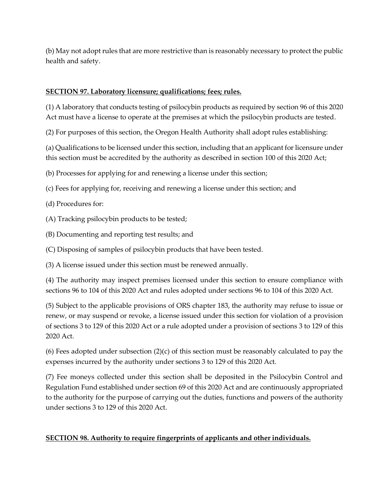(b) May not adopt rules that are more restrictive than is reasonably necessary to protect the public health and safety.

### **SECTION 97. Laboratory licensure; qualifications; fees; rules.**

(1) A laboratory that conducts testing of psilocybin products as required by section 96 of this 2020 Act must have a license to operate at the premises at which the psilocybin products are tested.

(2) For purposes of this section, the Oregon Health Authority shall adopt rules establishing:

(a) Qualifications to be licensed under this section, including that an applicant for licensure under this section must be accredited by the authority as described in section 100 of this 2020 Act;

(b) Processes for applying for and renewing a license under this section;

(c) Fees for applying for, receiving and renewing a license under this section; and

(d) Procedures for:

(A) Tracking psilocybin products to be tested;

(B) Documenting and reporting test results; and

(C) Disposing of samples of psilocybin products that have been tested.

(3) A license issued under this section must be renewed annually.

(4) The authority may inspect premises licensed under this section to ensure compliance with sections 96 to 104 of this 2020 Act and rules adopted under sections 96 to 104 of this 2020 Act.

(5) Subject to the applicable provisions of ORS chapter 183, the authority may refuse to issue or renew, or may suspend or revoke, a license issued under this section for violation of a provision of sections 3 to 129 of this 2020 Act or a rule adopted under a provision of sections 3 to 129 of this 2020 Act.

(6) Fees adopted under subsection  $(2)(c)$  of this section must be reasonably calculated to pay the expenses incurred by the authority under sections 3 to 129 of this 2020 Act.

(7) Fee moneys collected under this section shall be deposited in the Psilocybin Control and Regulation Fund established under section 69 of this 2020 Act and are continuously appropriated to the authority for the purpose of carrying out the duties, functions and powers of the authority under sections 3 to 129 of this 2020 Act.

## **SECTION 98. Authority to require fingerprints of applicants and other individuals.**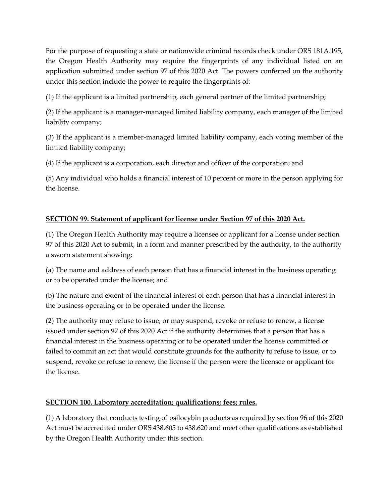For the purpose of requesting a state or nationwide criminal records check under ORS 181A.195, the Oregon Health Authority may require the fingerprints of any individual listed on an application submitted under section 97 of this 2020 Act. The powers conferred on the authority under this section include the power to require the fingerprints of:

(1) If the applicant is a limited partnership, each general partner of the limited partnership;

(2) If the applicant is a manager-managed limited liability company, each manager of the limited liability company;

(3) If the applicant is a member-managed limited liability company, each voting member of the limited liability company;

(4) If the applicant is a corporation, each director and officer of the corporation; and

(5) Any individual who holds a financial interest of 10 percent or more in the person applying for the license.

# **SECTION 99. Statement of applicant for license under Section 97 of this 2020 Act.**

(1) The Oregon Health Authority may require a licensee or applicant for a license under section 97 of this 2020 Act to submit, in a form and manner prescribed by the authority, to the authority a sworn statement showing:

(a) The name and address of each person that has a financial interest in the business operating or to be operated under the license; and

(b) The nature and extent of the financial interest of each person that has a financial interest in the business operating or to be operated under the license.

(2) The authority may refuse to issue, or may suspend, revoke or refuse to renew, a license issued under section 97 of this 2020 Act if the authority determines that a person that has a financial interest in the business operating or to be operated under the license committed or failed to commit an act that would constitute grounds for the authority to refuse to issue, or to suspend, revoke or refuse to renew, the license if the person were the licensee or applicant for the license.

## **SECTION 100. Laboratory accreditation; qualifications; fees; rules.**

(1) A laboratory that conducts testing of psilocybin products as required by section 96 of this 2020 Act must be accredited under ORS 438.605 to 438.620 and meet other qualifications as established by the Oregon Health Authority under this section.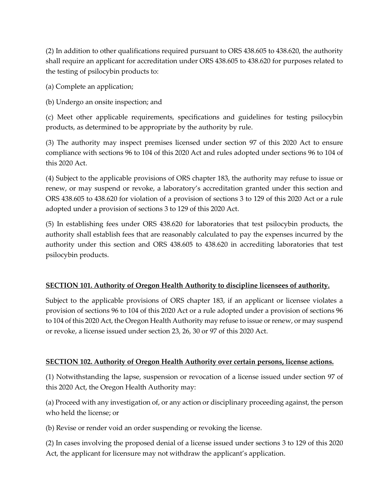(2) In addition to other qualifications required pursuant to ORS 438.605 to 438.620, the authority shall require an applicant for accreditation under ORS 438.605 to 438.620 for purposes related to the testing of psilocybin products to:

(a) Complete an application;

(b) Undergo an onsite inspection; and

(c) Meet other applicable requirements, specifications and guidelines for testing psilocybin products, as determined to be appropriate by the authority by rule.

(3) The authority may inspect premises licensed under section 97 of this 2020 Act to ensure compliance with sections 96 to 104 of this 2020 Act and rules adopted under sections 96 to 104 of this 2020 Act.

(4) Subject to the applicable provisions of ORS chapter 183, the authority may refuse to issue or renew, or may suspend or revoke, a laboratory's accreditation granted under this section and ORS 438.605 to 438.620 for violation of a provision of sections 3 to 129 of this 2020 Act or a rule adopted under a provision of sections 3 to 129 of this 2020 Act.

(5) In establishing fees under ORS 438.620 for laboratories that test psilocybin products, the authority shall establish fees that are reasonably calculated to pay the expenses incurred by the authority under this section and ORS 438.605 to 438.620 in accrediting laboratories that test psilocybin products.

## **SECTION 101. Authority of Oregon Health Authority to discipline licensees of authority.**

Subject to the applicable provisions of ORS chapter 183, if an applicant or licensee violates a provision of sections 96 to 104 of this 2020 Act or a rule adopted under a provision of sections 96 to 104 of this 2020 Act, the Oregon Health Authority may refuse to issue or renew, or may suspend or revoke, a license issued under section 23, 26, 30 or 97 of this 2020 Act.

## **SECTION 102. Authority of Oregon Health Authority over certain persons, license actions.**

(1) Notwithstanding the lapse, suspension or revocation of a license issued under section 97 of this 2020 Act, the Oregon Health Authority may:

(a) Proceed with any investigation of, or any action or disciplinary proceeding against, the person who held the license; or

(b) Revise or render void an order suspending or revoking the license.

(2) In cases involving the proposed denial of a license issued under sections 3 to 129 of this 2020 Act, the applicant for licensure may not withdraw the applicant's application.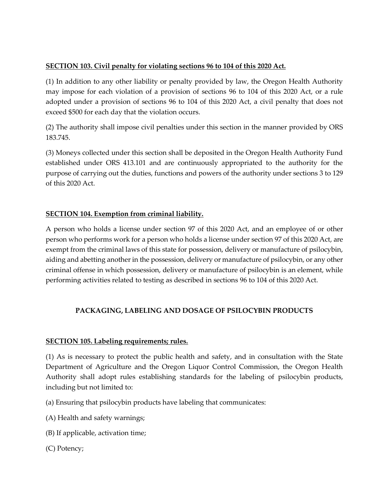## **SECTION 103. Civil penalty for violating sections 96 to 104 of this 2020 Act.**

(1) In addition to any other liability or penalty provided by law, the Oregon Health Authority may impose for each violation of a provision of sections 96 to 104 of this 2020 Act, or a rule adopted under a provision of sections 96 to 104 of this 2020 Act, a civil penalty that does not exceed \$500 for each day that the violation occurs.

(2) The authority shall impose civil penalties under this section in the manner provided by ORS 183.745.

(3) Moneys collected under this section shall be deposited in the Oregon Health Authority Fund established under ORS 413.101 and are continuously appropriated to the authority for the purpose of carrying out the duties, functions and powers of the authority under sections 3 to 129 of this 2020 Act.

## **SECTION 104. Exemption from criminal liability.**

A person who holds a license under section 97 of this 2020 Act, and an employee of or other person who performs work for a person who holds a license under section 97 of this 2020 Act, are exempt from the criminal laws of this state for possession, delivery or manufacture of psilocybin, aiding and abetting another in the possession, delivery or manufacture of psilocybin, or any other criminal offense in which possession, delivery or manufacture of psilocybin is an element, while performing activities related to testing as described in sections 96 to 104 of this 2020 Act.

## **PACKAGING, LABELING AND DOSAGE OF PSILOCYBIN PRODUCTS**

## **SECTION 105. Labeling requirements; rules.**

(1) As is necessary to protect the public health and safety, and in consultation with the State Department of Agriculture and the Oregon Liquor Control Commission, the Oregon Health Authority shall adopt rules establishing standards for the labeling of psilocybin products, including but not limited to:

(a) Ensuring that psilocybin products have labeling that communicates:

(A) Health and safety warnings;

- (B) If applicable, activation time;
- (C) Potency;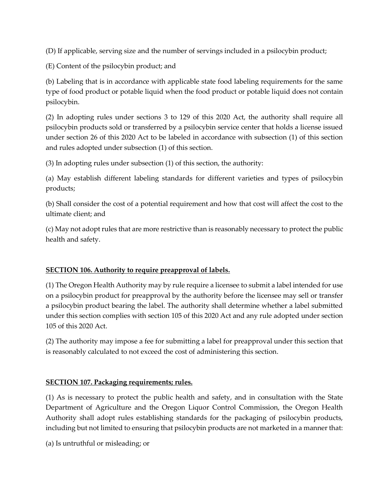(D) If applicable, serving size and the number of servings included in a psilocybin product;

(E) Content of the psilocybin product; and

(b) Labeling that is in accordance with applicable state food labeling requirements for the same type of food product or potable liquid when the food product or potable liquid does not contain psilocybin.

(2) In adopting rules under sections 3 to 129 of this 2020 Act, the authority shall require all psilocybin products sold or transferred by a psilocybin service center that holds a license issued under section 26 of this 2020 Act to be labeled in accordance with subsection (1) of this section and rules adopted under subsection (1) of this section.

(3) In adopting rules under subsection (1) of this section, the authority:

(a) May establish different labeling standards for different varieties and types of psilocybin products;

(b) Shall consider the cost of a potential requirement and how that cost will affect the cost to the ultimate client; and

(c) May not adopt rules that are more restrictive than is reasonably necessary to protect the public health and safety.

## **SECTION 106. Authority to require preapproval of labels.**

(1) The Oregon Health Authority may by rule require a licensee to submit a label intended for use on a psilocybin product for preapproval by the authority before the licensee may sell or transfer a psilocybin product bearing the label. The authority shall determine whether a label submitted under this section complies with section 105 of this 2020 Act and any rule adopted under section 105 of this 2020 Act.

(2) The authority may impose a fee for submitting a label for preapproval under this section that is reasonably calculated to not exceed the cost of administering this section.

## **SECTION 107. Packaging requirements; rules.**

(1) As is necessary to protect the public health and safety, and in consultation with the State Department of Agriculture and the Oregon Liquor Control Commission, the Oregon Health Authority shall adopt rules establishing standards for the packaging of psilocybin products, including but not limited to ensuring that psilocybin products are not marketed in a manner that:

(a) Is untruthful or misleading; or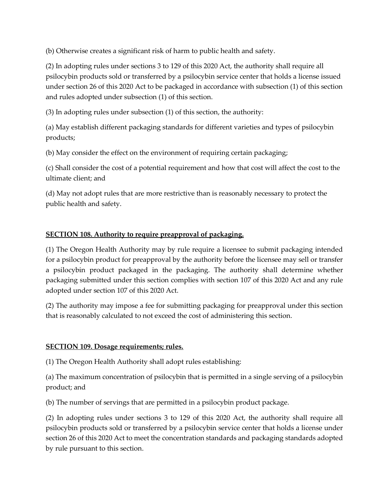(b) Otherwise creates a significant risk of harm to public health and safety.

(2) In adopting rules under sections 3 to 129 of this 2020 Act, the authority shall require all psilocybin products sold or transferred by a psilocybin service center that holds a license issued under section 26 of this 2020 Act to be packaged in accordance with subsection (1) of this section and rules adopted under subsection (1) of this section.

(3) In adopting rules under subsection (1) of this section, the authority:

(a) May establish different packaging standards for different varieties and types of psilocybin products;

(b) May consider the effect on the environment of requiring certain packaging;

(c) Shall consider the cost of a potential requirement and how that cost will affect the cost to the ultimate client; and

(d) May not adopt rules that are more restrictive than is reasonably necessary to protect the public health and safety.

## **SECTION 108. Authority to require preapproval of packaging.**

(1) The Oregon Health Authority may by rule require a licensee to submit packaging intended for a psilocybin product for preapproval by the authority before the licensee may sell or transfer a psilocybin product packaged in the packaging. The authority shall determine whether packaging submitted under this section complies with section 107 of this 2020 Act and any rule adopted under section 107 of this 2020 Act.

(2) The authority may impose a fee for submitting packaging for preapproval under this section that is reasonably calculated to not exceed the cost of administering this section.

## **SECTION 109. Dosage requirements; rules.**

(1) The Oregon Health Authority shall adopt rules establishing:

(a) The maximum concentration of psilocybin that is permitted in a single serving of a psilocybin product; and

(b) The number of servings that are permitted in a psilocybin product package.

(2) In adopting rules under sections 3 to 129 of this 2020 Act, the authority shall require all psilocybin products sold or transferred by a psilocybin service center that holds a license under section 26 of this 2020 Act to meet the concentration standards and packaging standards adopted by rule pursuant to this section.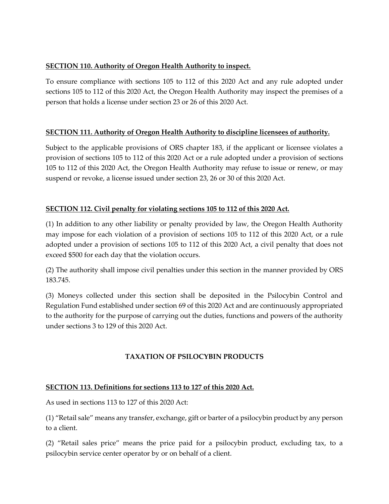## **SECTION 110. Authority of Oregon Health Authority to inspect.**

To ensure compliance with sections 105 to 112 of this 2020 Act and any rule adopted under sections 105 to 112 of this 2020 Act, the Oregon Health Authority may inspect the premises of a person that holds a license under section 23 or 26 of this 2020 Act.

## **SECTION 111. Authority of Oregon Health Authority to discipline licensees of authority.**

Subject to the applicable provisions of ORS chapter 183, if the applicant or licensee violates a provision of sections 105 to 112 of this 2020 Act or a rule adopted under a provision of sections 105 to 112 of this 2020 Act, the Oregon Health Authority may refuse to issue or renew, or may suspend or revoke, a license issued under section 23, 26 or 30 of this 2020 Act.

## **SECTION 112. Civil penalty for violating sections 105 to 112 of this 2020 Act.**

(1) In addition to any other liability or penalty provided by law, the Oregon Health Authority may impose for each violation of a provision of sections 105 to 112 of this 2020 Act, or a rule adopted under a provision of sections 105 to 112 of this 2020 Act, a civil penalty that does not exceed \$500 for each day that the violation occurs.

(2) The authority shall impose civil penalties under this section in the manner provided by ORS 183.745.

(3) Moneys collected under this section shall be deposited in the Psilocybin Control and Regulation Fund established under section 69 of this 2020 Act and are continuously appropriated to the authority for the purpose of carrying out the duties, functions and powers of the authority under sections 3 to 129 of this 2020 Act.

## **TAXATION OF PSILOCYBIN PRODUCTS**

## **SECTION 113. Definitions for sections 113 to 127 of this 2020 Act.**

As used in sections 113 to 127 of this 2020 Act:

(1) "Retail sale" means any transfer, exchange, gift or barter of a psilocybin product by any person to a client.

(2) "Retail sales price" means the price paid for a psilocybin product, excluding tax, to a psilocybin service center operator by or on behalf of a client.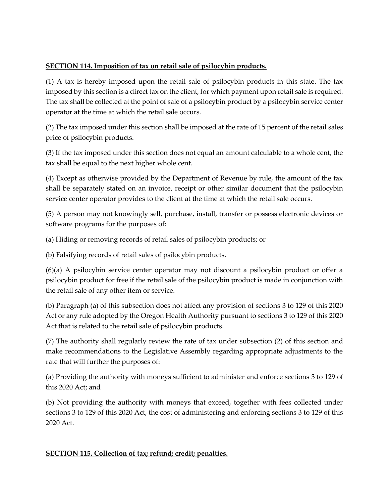## **SECTION 114. Imposition of tax on retail sale of psilocybin products.**

(1) A tax is hereby imposed upon the retail sale of psilocybin products in this state. The tax imposed by this section is a direct tax on the client, for which payment upon retail sale is required. The tax shall be collected at the point of sale of a psilocybin product by a psilocybin service center operator at the time at which the retail sale occurs.

(2) The tax imposed under this section shall be imposed at the rate of 15 percent of the retail sales price of psilocybin products.

(3) If the tax imposed under this section does not equal an amount calculable to a whole cent, the tax shall be equal to the next higher whole cent.

(4) Except as otherwise provided by the Department of Revenue by rule, the amount of the tax shall be separately stated on an invoice, receipt or other similar document that the psilocybin service center operator provides to the client at the time at which the retail sale occurs.

(5) A person may not knowingly sell, purchase, install, transfer or possess electronic devices or software programs for the purposes of:

(a) Hiding or removing records of retail sales of psilocybin products; or

(b) Falsifying records of retail sales of psilocybin products.

(6)(a) A psilocybin service center operator may not discount a psilocybin product or offer a psilocybin product for free if the retail sale of the psilocybin product is made in conjunction with the retail sale of any other item or service.

(b) Paragraph (a) of this subsection does not affect any provision of sections 3 to 129 of this 2020 Act or any rule adopted by the Oregon Health Authority pursuant to sections 3 to 129 of this 2020 Act that is related to the retail sale of psilocybin products.

(7) The authority shall regularly review the rate of tax under subsection (2) of this section and make recommendations to the Legislative Assembly regarding appropriate adjustments to the rate that will further the purposes of:

(a) Providing the authority with moneys sufficient to administer and enforce sections 3 to 129 of this 2020 Act; and

(b) Not providing the authority with moneys that exceed, together with fees collected under sections 3 to 129 of this 2020 Act, the cost of administering and enforcing sections 3 to 129 of this 2020 Act.

## **SECTION 115. Collection of tax; refund; credit; penalties.**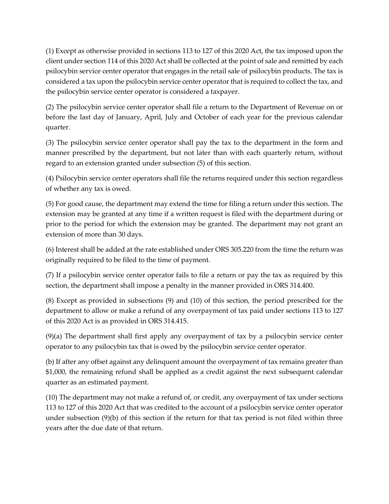(1) Except as otherwise provided in sections 113 to 127 of this 2020 Act, the tax imposed upon the client under section 114 of this 2020 Act shall be collected at the point of sale and remitted by each psilocybin service center operator that engages in the retail sale of psilocybin products. The tax is considered a tax upon the psilocybin service center operator that is required to collect the tax, and the psilocybin service center operator is considered a taxpayer.

(2) The psilocybin service center operator shall file a return to the Department of Revenue on or before the last day of January, April, July and October of each year for the previous calendar quarter.

(3) The psilocybin service center operator shall pay the tax to the department in the form and manner prescribed by the department, but not later than with each quarterly return, without regard to an extension granted under subsection (5) of this section.

(4) Psilocybin service center operators shall file the returns required under this section regardless of whether any tax is owed.

(5) For good cause, the department may extend the time for filing a return under this section. The extension may be granted at any time if a written request is filed with the department during or prior to the period for which the extension may be granted. The department may not grant an extension of more than 30 days.

(6) Interest shall be added at the rate established under ORS 305.220 from the time the return was originally required to be filed to the time of payment.

(7) If a psilocybin service center operator fails to file a return or pay the tax as required by this section, the department shall impose a penalty in the manner provided in ORS 314.400.

(8) Except as provided in subsections (9) and (10) of this section, the period prescribed for the department to allow or make a refund of any overpayment of tax paid under sections 113 to 127 of this 2020 Act is as provided in ORS 314.415.

(9)(a) The department shall first apply any overpayment of tax by a psilocybin service center operator to any psilocybin tax that is owed by the psilocybin service center operator.

(b) If after any offset against any delinquent amount the overpayment of tax remains greater than \$1,000, the remaining refund shall be applied as a credit against the next subsequent calendar quarter as an estimated payment.

(10) The department may not make a refund of, or credit, any overpayment of tax under sections 113 to 127 of this 2020 Act that was credited to the account of a psilocybin service center operator under subsection (9)(b) of this section if the return for that tax period is not filed within three years after the due date of that return.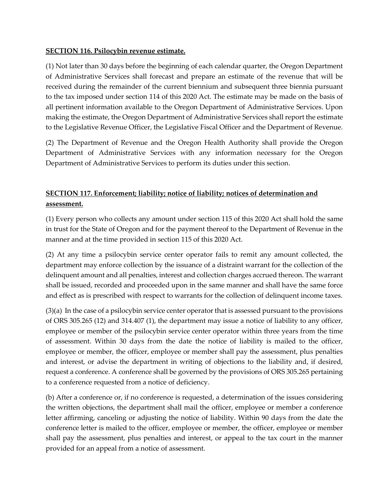### **SECTION 116. Psilocybin revenue estimate.**

(1) Not later than 30 days before the beginning of each calendar quarter, the Oregon Department of Administrative Services shall forecast and prepare an estimate of the revenue that will be received during the remainder of the current biennium and subsequent three biennia pursuant to the tax imposed under section 114 of this 2020 Act. The estimate may be made on the basis of all pertinent information available to the Oregon Department of Administrative Services. Upon making the estimate, the Oregon Department of Administrative Services shall report the estimate to the Legislative Revenue Officer, the Legislative Fiscal Officer and the Department of Revenue.

(2) The Department of Revenue and the Oregon Health Authority shall provide the Oregon Department of Administrative Services with any information necessary for the Oregon Department of Administrative Services to perform its duties under this section.

# **SECTION 117. Enforcement; liability; notice of liability; notices of determination and assessment.**

(1) Every person who collects any amount under section 115 of this 2020 Act shall hold the same in trust for the State of Oregon and for the payment thereof to the Department of Revenue in the manner and at the time provided in section 115 of this 2020 Act.

(2) At any time a psilocybin service center operator fails to remit any amount collected, the department may enforce collection by the issuance of a distraint warrant for the collection of the delinquent amount and all penalties, interest and collection charges accrued thereon. The warrant shall be issued, recorded and proceeded upon in the same manner and shall have the same force and effect as is prescribed with respect to warrants for the collection of delinquent income taxes.

(3)(a) In the case of a psilocybin service center operator that is assessed pursuant to the provisions of ORS 305.265 (12) and 314.407 (1), the department may issue a notice of liability to any officer, employee or member of the psilocybin service center operator within three years from the time of assessment. Within 30 days from the date the notice of liability is mailed to the officer, employee or member, the officer, employee or member shall pay the assessment, plus penalties and interest, or advise the department in writing of objections to the liability and, if desired, request a conference. A conference shall be governed by the provisions of ORS 305.265 pertaining to a conference requested from a notice of deficiency.

(b) After a conference or, if no conference is requested, a determination of the issues considering the written objections, the department shall mail the officer, employee or member a conference letter affirming, canceling or adjusting the notice of liability. Within 90 days from the date the conference letter is mailed to the officer, employee or member, the officer, employee or member shall pay the assessment, plus penalties and interest, or appeal to the tax court in the manner provided for an appeal from a notice of assessment.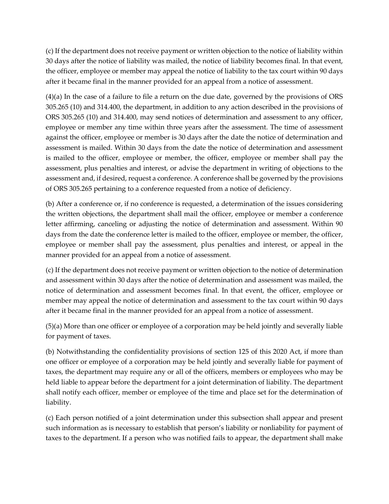(c) If the department does not receive payment or written objection to the notice of liability within 30 days after the notice of liability was mailed, the notice of liability becomes final. In that event, the officer, employee or member may appeal the notice of liability to the tax court within 90 days after it became final in the manner provided for an appeal from a notice of assessment.

(4)(a) In the case of a failure to file a return on the due date, governed by the provisions of ORS 305.265 (10) and 314.400, the department, in addition to any action described in the provisions of ORS 305.265 (10) and 314.400, may send notices of determination and assessment to any officer, employee or member any time within three years after the assessment. The time of assessment against the officer, employee or member is 30 days after the date the notice of determination and assessment is mailed. Within 30 days from the date the notice of determination and assessment is mailed to the officer, employee or member, the officer, employee or member shall pay the assessment, plus penalties and interest, or advise the department in writing of objections to the assessment and, if desired, request a conference. A conference shall be governed by the provisions of ORS 305.265 pertaining to a conference requested from a notice of deficiency.

(b) After a conference or, if no conference is requested, a determination of the issues considering the written objections, the department shall mail the officer, employee or member a conference letter affirming, canceling or adjusting the notice of determination and assessment. Within 90 days from the date the conference letter is mailed to the officer, employee or member, the officer, employee or member shall pay the assessment, plus penalties and interest, or appeal in the manner provided for an appeal from a notice of assessment.

(c) If the department does not receive payment or written objection to the notice of determination and assessment within 30 days after the notice of determination and assessment was mailed, the notice of determination and assessment becomes final. In that event, the officer, employee or member may appeal the notice of determination and assessment to the tax court within 90 days after it became final in the manner provided for an appeal from a notice of assessment.

(5)(a) More than one officer or employee of a corporation may be held jointly and severally liable for payment of taxes.

(b) Notwithstanding the confidentiality provisions of section 125 of this 2020 Act, if more than one officer or employee of a corporation may be held jointly and severally liable for payment of taxes, the department may require any or all of the officers, members or employees who may be held liable to appear before the department for a joint determination of liability. The department shall notify each officer, member or employee of the time and place set for the determination of liability.

(c) Each person notified of a joint determination under this subsection shall appear and present such information as is necessary to establish that person's liability or nonliability for payment of taxes to the department. If a person who was notified fails to appear, the department shall make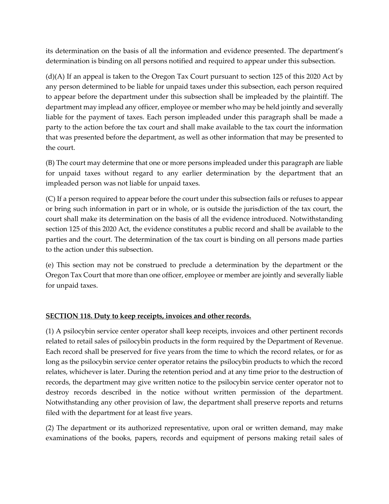its determination on the basis of all the information and evidence presented. The department's determination is binding on all persons notified and required to appear under this subsection.

(d)(A) If an appeal is taken to the Oregon Tax Court pursuant to section 125 of this 2020 Act by any person determined to be liable for unpaid taxes under this subsection, each person required to appear before the department under this subsection shall be impleaded by the plaintiff. The department may implead any officer, employee or member who may be held jointly and severally liable for the payment of taxes. Each person impleaded under this paragraph shall be made a party to the action before the tax court and shall make available to the tax court the information that was presented before the department, as well as other information that may be presented to the court.

(B) The court may determine that one or more persons impleaded under this paragraph are liable for unpaid taxes without regard to any earlier determination by the department that an impleaded person was not liable for unpaid taxes.

(C) If a person required to appear before the court under this subsection fails or refuses to appear or bring such information in part or in whole, or is outside the jurisdiction of the tax court, the court shall make its determination on the basis of all the evidence introduced. Notwithstanding section 125 of this 2020 Act, the evidence constitutes a public record and shall be available to the parties and the court. The determination of the tax court is binding on all persons made parties to the action under this subsection.

(e) This section may not be construed to preclude a determination by the department or the Oregon Tax Court that more than one officer, employee or member are jointly and severally liable for unpaid taxes.

## **SECTION 118. Duty to keep receipts, invoices and other records.**

(1) A psilocybin service center operator shall keep receipts, invoices and other pertinent records related to retail sales of psilocybin products in the form required by the Department of Revenue. Each record shall be preserved for five years from the time to which the record relates, or for as long as the psilocybin service center operator retains the psilocybin products to which the record relates, whichever is later. During the retention period and at any time prior to the destruction of records, the department may give written notice to the psilocybin service center operator not to destroy records described in the notice without written permission of the department. Notwithstanding any other provision of law, the department shall preserve reports and returns filed with the department for at least five years.

(2) The department or its authorized representative, upon oral or written demand, may make examinations of the books, papers, records and equipment of persons making retail sales of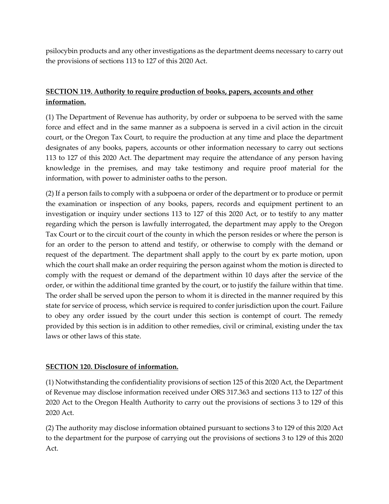psilocybin products and any other investigations as the department deems necessary to carry out the provisions of sections 113 to 127 of this 2020 Act.

# **SECTION 119. Authority to require production of books, papers, accounts and other information.**

(1) The Department of Revenue has authority, by order or subpoena to be served with the same force and effect and in the same manner as a subpoena is served in a civil action in the circuit court, or the Oregon Tax Court, to require the production at any time and place the department designates of any books, papers, accounts or other information necessary to carry out sections 113 to 127 of this 2020 Act. The department may require the attendance of any person having knowledge in the premises, and may take testimony and require proof material for the information, with power to administer oaths to the person.

(2) If a person fails to comply with a subpoena or order of the department or to produce or permit the examination or inspection of any books, papers, records and equipment pertinent to an investigation or inquiry under sections 113 to 127 of this 2020 Act, or to testify to any matter regarding which the person is lawfully interrogated, the department may apply to the Oregon Tax Court or to the circuit court of the county in which the person resides or where the person is for an order to the person to attend and testify, or otherwise to comply with the demand or request of the department. The department shall apply to the court by ex parte motion, upon which the court shall make an order requiring the person against whom the motion is directed to comply with the request or demand of the department within 10 days after the service of the order, or within the additional time granted by the court, or to justify the failure within that time. The order shall be served upon the person to whom it is directed in the manner required by this state for service of process, which service is required to confer jurisdiction upon the court. Failure to obey any order issued by the court under this section is contempt of court. The remedy provided by this section is in addition to other remedies, civil or criminal, existing under the tax laws or other laws of this state.

## **SECTION 120. Disclosure of information.**

(1) Notwithstanding the confidentiality provisions of section 125 of this 2020 Act, the Department of Revenue may disclose information received under ORS 317.363 and sections 113 to 127 of this 2020 Act to the Oregon Health Authority to carry out the provisions of sections 3 to 129 of this 2020 Act.

(2) The authority may disclose information obtained pursuant to sections 3 to 129 of this 2020 Act to the department for the purpose of carrying out the provisions of sections 3 to 129 of this 2020 Act.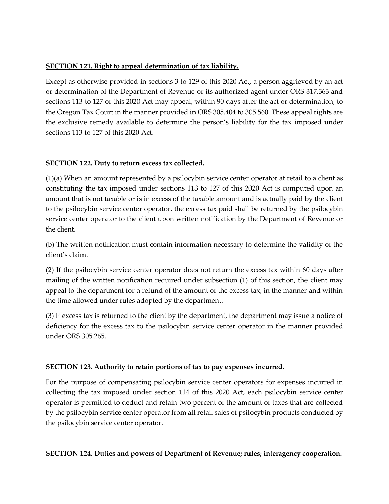## **SECTION 121. Right to appeal determination of tax liability.**

Except as otherwise provided in sections 3 to 129 of this 2020 Act, a person aggrieved by an act or determination of the Department of Revenue or its authorized agent under ORS 317.363 and sections 113 to 127 of this 2020 Act may appeal, within 90 days after the act or determination, to the Oregon Tax Court in the manner provided in ORS 305.404 to 305.560. These appeal rights are the exclusive remedy available to determine the person's liability for the tax imposed under sections 113 to 127 of this 2020 Act.

## **SECTION 122. Duty to return excess tax collected.**

(1)(a) When an amount represented by a psilocybin service center operator at retail to a client as constituting the tax imposed under sections 113 to 127 of this 2020 Act is computed upon an amount that is not taxable or is in excess of the taxable amount and is actually paid by the client to the psilocybin service center operator, the excess tax paid shall be returned by the psilocybin service center operator to the client upon written notification by the Department of Revenue or the client.

(b) The written notification must contain information necessary to determine the validity of the client's claim.

(2) If the psilocybin service center operator does not return the excess tax within 60 days after mailing of the written notification required under subsection (1) of this section, the client may appeal to the department for a refund of the amount of the excess tax, in the manner and within the time allowed under rules adopted by the department.

(3) If excess tax is returned to the client by the department, the department may issue a notice of deficiency for the excess tax to the psilocybin service center operator in the manner provided under ORS 305.265.

## **SECTION 123. Authority to retain portions of tax to pay expenses incurred.**

For the purpose of compensating psilocybin service center operators for expenses incurred in collecting the tax imposed under section 114 of this 2020 Act, each psilocybin service center operator is permitted to deduct and retain two percent of the amount of taxes that are collected by the psilocybin service center operator from all retail sales of psilocybin products conducted by the psilocybin service center operator.

## **SECTION 124. Duties and powers of Department of Revenue; rules; interagency cooperation.**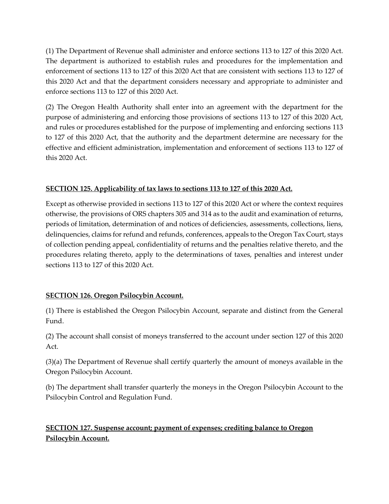(1) The Department of Revenue shall administer and enforce sections 113 to 127 of this 2020 Act. The department is authorized to establish rules and procedures for the implementation and enforcement of sections 113 to 127 of this 2020 Act that are consistent with sections 113 to 127 of this 2020 Act and that the department considers necessary and appropriate to administer and enforce sections 113 to 127 of this 2020 Act.

(2) The Oregon Health Authority shall enter into an agreement with the department for the purpose of administering and enforcing those provisions of sections 113 to 127 of this 2020 Act, and rules or procedures established for the purpose of implementing and enforcing sections 113 to 127 of this 2020 Act, that the authority and the department determine are necessary for the effective and efficient administration, implementation and enforcement of sections 113 to 127 of this 2020 Act.

## **SECTION 125. Applicability of tax laws to sections 113 to 127 of this 2020 Act.**

Except as otherwise provided in sections 113 to 127 of this 2020 Act or where the context requires otherwise, the provisions of ORS chapters 305 and 314 as to the audit and examination of returns, periods of limitation, determination of and notices of deficiencies, assessments, collections, liens, delinquencies, claims for refund and refunds, conferences, appeals to the Oregon Tax Court, stays of collection pending appeal, confidentiality of returns and the penalties relative thereto, and the procedures relating thereto, apply to the determinations of taxes, penalties and interest under sections 113 to 127 of this 2020 Act.

## **SECTION 126. Oregon Psilocybin Account.**

(1) There is established the Oregon Psilocybin Account, separate and distinct from the General Fund.

(2) The account shall consist of moneys transferred to the account under section 127 of this 2020 Act.

(3)(a) The Department of Revenue shall certify quarterly the amount of moneys available in the Oregon Psilocybin Account.

(b) The department shall transfer quarterly the moneys in the Oregon Psilocybin Account to the Psilocybin Control and Regulation Fund.

# **SECTION 127. Suspense account; payment of expenses; crediting balance to Oregon Psilocybin Account.**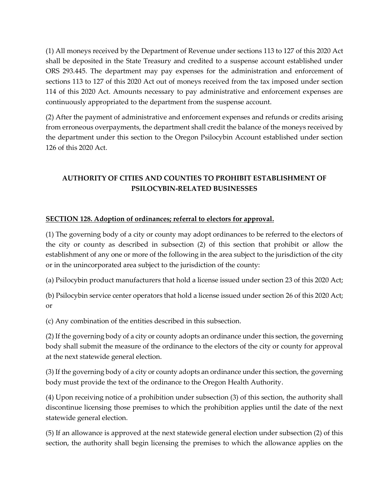(1) All moneys received by the Department of Revenue under sections 113 to 127 of this 2020 Act shall be deposited in the State Treasury and credited to a suspense account established under ORS 293.445. The department may pay expenses for the administration and enforcement of sections 113 to 127 of this 2020 Act out of moneys received from the tax imposed under section 114 of this 2020 Act. Amounts necessary to pay administrative and enforcement expenses are continuously appropriated to the department from the suspense account.

(2) After the payment of administrative and enforcement expenses and refunds or credits arising from erroneous overpayments, the department shall credit the balance of the moneys received by the department under this section to the Oregon Psilocybin Account established under section 126 of this 2020 Act.

# **AUTHORITY OF CITIES AND COUNTIES TO PROHIBIT ESTABLISHMENT OF PSILOCYBIN-RELATED BUSINESSES**

## **SECTION 128. Adoption of ordinances; referral to electors for approval.**

(1) The governing body of a city or county may adopt ordinances to be referred to the electors of the city or county as described in subsection (2) of this section that prohibit or allow the establishment of any one or more of the following in the area subject to the jurisdiction of the city or in the unincorporated area subject to the jurisdiction of the county:

(a) Psilocybin product manufacturers that hold a license issued under section 23 of this 2020 Act;

(b) Psilocybin service center operators that hold a license issued under section 26 of this 2020 Act; or

(c) Any combination of the entities described in this subsection.

(2) If the governing body of a city or county adopts an ordinance under this section, the governing body shall submit the measure of the ordinance to the electors of the city or county for approval at the next statewide general election.

(3) If the governing body of a city or county adopts an ordinance under this section, the governing body must provide the text of the ordinance to the Oregon Health Authority.

(4) Upon receiving notice of a prohibition under subsection (3) of this section, the authority shall discontinue licensing those premises to which the prohibition applies until the date of the next statewide general election.

(5) If an allowance is approved at the next statewide general election under subsection (2) of this section, the authority shall begin licensing the premises to which the allowance applies on the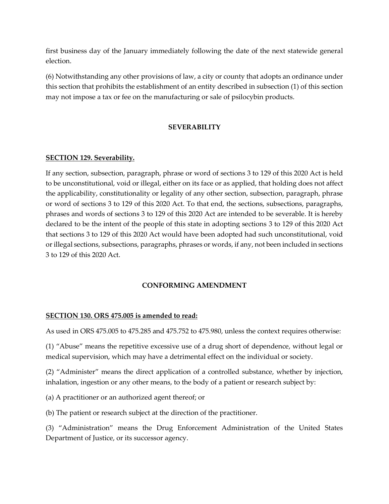first business day of the January immediately following the date of the next statewide general election.

(6) Notwithstanding any other provisions of law, a city or county that adopts an ordinance under this section that prohibits the establishment of an entity described in subsection (1) of this section may not impose a tax or fee on the manufacturing or sale of psilocybin products.

### **SEVERABILITY**

#### **SECTION 129. Severability.**

If any section, subsection, paragraph, phrase or word of sections 3 to 129 of this 2020 Act is held to be unconstitutional, void or illegal, either on its face or as applied, that holding does not affect the applicability, constitutionality or legality of any other section, subsection, paragraph, phrase or word of sections 3 to 129 of this 2020 Act. To that end, the sections, subsections, paragraphs, phrases and words of sections 3 to 129 of this 2020 Act are intended to be severable. It is hereby declared to be the intent of the people of this state in adopting sections 3 to 129 of this 2020 Act that sections 3 to 129 of this 2020 Act would have been adopted had such unconstitutional, void or illegal sections, subsections, paragraphs, phrases or words, if any, not been included in sections 3 to 129 of this 2020 Act.

#### **CONFORMING AMENDMENT**

#### **SECTION 130. ORS 475.005 is amended to read:**

As used in ORS 475.005 to 475.285 and 475.752 to 475.980, unless the context requires otherwise:

(1) "Abuse" means the repetitive excessive use of a drug short of dependence, without legal or medical supervision, which may have a detrimental effect on the individual or society.

(2) "Administer" means the direct application of a controlled substance, whether by injection, inhalation, ingestion or any other means, to the body of a patient or research subject by:

(a) A practitioner or an authorized agent thereof; or

(b) The patient or research subject at the direction of the practitioner.

(3) "Administration" means the Drug Enforcement Administration of the United States Department of Justice, or its successor agency.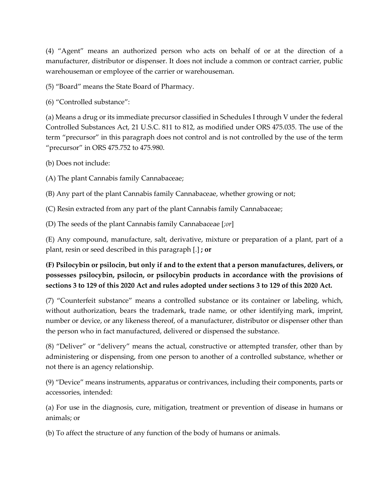(4) "Agent" means an authorized person who acts on behalf of or at the direction of a manufacturer, distributor or dispenser. It does not include a common or contract carrier, public warehouseman or employee of the carrier or warehouseman.

(5) "Board" means the State Board of Pharmacy.

(6) "Controlled substance":

(a) Means a drug or its immediate precursor classified in Schedules I through V under the federal Controlled Substances Act, 21 U.S.C. 811 to 812, as modified under ORS 475.035. The use of the term "precursor" in this paragraph does not control and is not controlled by the use of the term "precursor" in ORS 475.752 to 475.980.

(b) Does not include:

(A) The plant Cannabis family Cannabaceae;

(B) Any part of the plant Cannabis family Cannabaceae, whether growing or not;

(C) Resin extracted from any part of the plant Cannabis family Cannabaceae;

(D) The seeds of the plant Cannabis family Cannabaceae [*;or*]

(E) Any compound, manufacture, salt, derivative, mixture or preparation of a plant, part of a plant, resin or seed described in this paragraph [*.*] **; or**

**(F) Psilocybin or psilocin, but only if and to the extent that a person manufactures, delivers, or possesses psilocybin, psilocin, or psilocybin products in accordance with the provisions of sections 3 to 129 of this 2020 Act and rules adopted under sections 3 to 129 of this 2020 Act.** 

(7) "Counterfeit substance" means a controlled substance or its container or labeling, which, without authorization, bears the trademark, trade name, or other identifying mark, imprint, number or device, or any likeness thereof, of a manufacturer, distributor or dispenser other than the person who in fact manufactured, delivered or dispensed the substance.

(8) "Deliver" or "delivery" means the actual, constructive or attempted transfer, other than by administering or dispensing, from one person to another of a controlled substance, whether or not there is an agency relationship.

(9) "Device" means instruments, apparatus or contrivances, including their components, parts or accessories, intended:

(a) For use in the diagnosis, cure, mitigation, treatment or prevention of disease in humans or animals; or

(b) To affect the structure of any function of the body of humans or animals.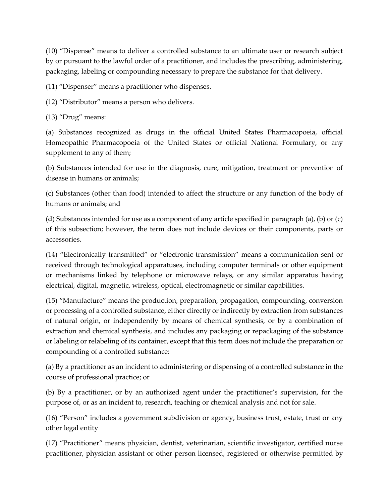(10) "Dispense" means to deliver a controlled substance to an ultimate user or research subject by or pursuant to the lawful order of a practitioner, and includes the prescribing, administering, packaging, labeling or compounding necessary to prepare the substance for that delivery.

(11) "Dispenser" means a practitioner who dispenses.

(12) "Distributor" means a person who delivers.

(13) "Drug" means:

(a) Substances recognized as drugs in the official United States Pharmacopoeia, official Homeopathic Pharmacopoeia of the United States or official National Formulary, or any supplement to any of them;

(b) Substances intended for use in the diagnosis, cure, mitigation, treatment or prevention of disease in humans or animals;

(c) Substances (other than food) intended to affect the structure or any function of the body of humans or animals; and

(d) Substances intended for use as a component of any article specified in paragraph (a), (b) or (c) of this subsection; however, the term does not include devices or their components, parts or accessories.

(14) "Electronically transmitted" or "electronic transmission" means a communication sent or received through technological apparatuses, including computer terminals or other equipment or mechanisms linked by telephone or microwave relays, or any similar apparatus having electrical, digital, magnetic, wireless, optical, electromagnetic or similar capabilities.

(15) "Manufacture" means the production, preparation, propagation, compounding, conversion or processing of a controlled substance, either directly or indirectly by extraction from substances of natural origin, or independently by means of chemical synthesis, or by a combination of extraction and chemical synthesis, and includes any packaging or repackaging of the substance or labeling or relabeling of its container, except that this term does not include the preparation or compounding of a controlled substance:

(a) By a practitioner as an incident to administering or dispensing of a controlled substance in the course of professional practice; or

(b) By a practitioner, or by an authorized agent under the practitioner's supervision, for the purpose of, or as an incident to, research, teaching or chemical analysis and not for sale.

(16) "Person" includes a government subdivision or agency, business trust, estate, trust or any other legal entity

(17) "Practitioner" means physician, dentist, veterinarian, scientific investigator, certified nurse practitioner, physician assistant or other person licensed, registered or otherwise permitted by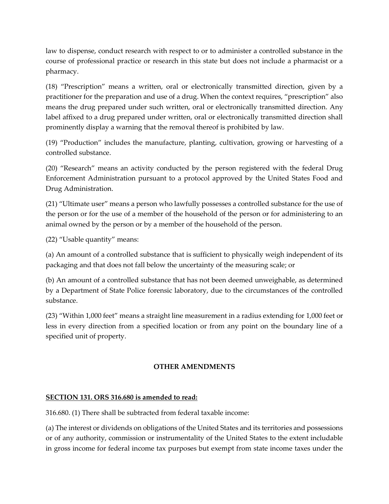law to dispense, conduct research with respect to or to administer a controlled substance in the course of professional practice or research in this state but does not include a pharmacist or a pharmacy.

(18) "Prescription" means a written, oral or electronically transmitted direction, given by a practitioner for the preparation and use of a drug. When the context requires, "prescription" also means the drug prepared under such written, oral or electronically transmitted direction. Any label affixed to a drug prepared under written, oral or electronically transmitted direction shall prominently display a warning that the removal thereof is prohibited by law.

(19) "Production" includes the manufacture, planting, cultivation, growing or harvesting of a controlled substance.

(20) "Research" means an activity conducted by the person registered with the federal Drug Enforcement Administration pursuant to a protocol approved by the United States Food and Drug Administration.

(21) "Ultimate user" means a person who lawfully possesses a controlled substance for the use of the person or for the use of a member of the household of the person or for administering to an animal owned by the person or by a member of the household of the person.

(22) "Usable quantity" means:

(a) An amount of a controlled substance that is sufficient to physically weigh independent of its packaging and that does not fall below the uncertainty of the measuring scale; or

(b) An amount of a controlled substance that has not been deemed unweighable, as determined by a Department of State Police forensic laboratory, due to the circumstances of the controlled substance.

(23) "Within 1,000 feet" means a straight line measurement in a radius extending for 1,000 feet or less in every direction from a specified location or from any point on the boundary line of a specified unit of property.

## **OTHER AMENDMENTS**

#### **SECTION 131. ORS 316.680 is amended to read:**

316.680. (1) There shall be subtracted from federal taxable income:

(a) The interest or dividends on obligations of the United States and its territories and possessions or of any authority, commission or instrumentality of the United States to the extent includable in gross income for federal income tax purposes but exempt from state income taxes under the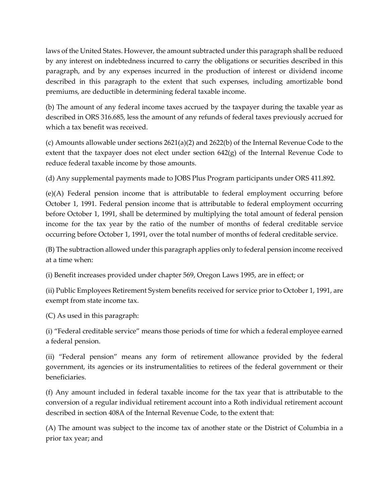laws of the United States. However, the amount subtracted under this paragraph shall be reduced by any interest on indebtedness incurred to carry the obligations or securities described in this paragraph, and by any expenses incurred in the production of interest or dividend income described in this paragraph to the extent that such expenses, including amortizable bond premiums, are deductible in determining federal taxable income.

(b) The amount of any federal income taxes accrued by the taxpayer during the taxable year as described in ORS 316.685, less the amount of any refunds of federal taxes previously accrued for which a tax benefit was received.

(c) Amounts allowable under sections 2621(a)(2) and 2622(b) of the Internal Revenue Code to the extent that the taxpayer does not elect under section 642(g) of the Internal Revenue Code to reduce federal taxable income by those amounts.

(d) Any supplemental payments made to JOBS Plus Program participants under ORS 411.892.

(e)(A) Federal pension income that is attributable to federal employment occurring before October 1, 1991. Federal pension income that is attributable to federal employment occurring before October 1, 1991, shall be determined by multiplying the total amount of federal pension income for the tax year by the ratio of the number of months of federal creditable service occurring before October 1, 1991, over the total number of months of federal creditable service.

(B) The subtraction allowed under this paragraph applies only to federal pension income received at a time when:

(i) Benefit increases provided under chapter 569, Oregon Laws 1995, are in effect; or

(ii) Public Employees Retirement System benefits received for service prior to October 1, 1991, are exempt from state income tax.

(C) As used in this paragraph:

(i) "Federal creditable service" means those periods of time for which a federal employee earned a federal pension.

(ii) "Federal pension" means any form of retirement allowance provided by the federal government, its agencies or its instrumentalities to retirees of the federal government or their beneficiaries.

(f) Any amount included in federal taxable income for the tax year that is attributable to the conversion of a regular individual retirement account into a Roth individual retirement account described in section 408A of the Internal Revenue Code, to the extent that:

(A) The amount was subject to the income tax of another state or the District of Columbia in a prior tax year; and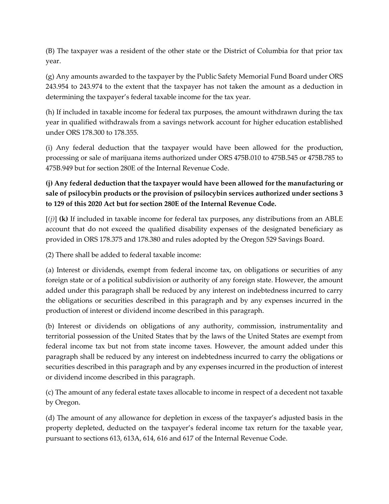(B) The taxpayer was a resident of the other state or the District of Columbia for that prior tax year.

(g) Any amounts awarded to the taxpayer by the Public Safety Memorial Fund Board under ORS 243.954 to 243.974 to the extent that the taxpayer has not taken the amount as a deduction in determining the taxpayer's federal taxable income for the tax year.

(h) If included in taxable income for federal tax purposes, the amount withdrawn during the tax year in qualified withdrawals from a savings network account for higher education established under ORS 178.300 to 178.355.

(i) Any federal deduction that the taxpayer would have been allowed for the production, processing or sale of marijuana items authorized under ORS 475B.010 to 475B.545 or 475B.785 to 475B.949 but for section 280E of the Internal Revenue Code.

# **(j) Any federal deduction that the taxpayer would have been allowed for the manufacturing or sale of psilocybin products or the provision of psilocybin services authorized under sections 3 to 129 of this 2020 Act but for section 280E of the Internal Revenue Code.**

[*(j)*] **(k)** If included in taxable income for federal tax purposes, any distributions from an ABLE account that do not exceed the qualified disability expenses of the designated beneficiary as provided in ORS 178.375 and 178.380 and rules adopted by the Oregon 529 Savings Board.

(2) There shall be added to federal taxable income:

(a) Interest or dividends, exempt from federal income tax, on obligations or securities of any foreign state or of a political subdivision or authority of any foreign state. However, the amount added under this paragraph shall be reduced by any interest on indebtedness incurred to carry the obligations or securities described in this paragraph and by any expenses incurred in the production of interest or dividend income described in this paragraph.

(b) Interest or dividends on obligations of any authority, commission, instrumentality and territorial possession of the United States that by the laws of the United States are exempt from federal income tax but not from state income taxes. However, the amount added under this paragraph shall be reduced by any interest on indebtedness incurred to carry the obligations or securities described in this paragraph and by any expenses incurred in the production of interest or dividend income described in this paragraph.

(c) The amount of any federal estate taxes allocable to income in respect of a decedent not taxable by Oregon.

(d) The amount of any allowance for depletion in excess of the taxpayer's adjusted basis in the property depleted, deducted on the taxpayer's federal income tax return for the taxable year, pursuant to sections 613, 613A, 614, 616 and 617 of the Internal Revenue Code.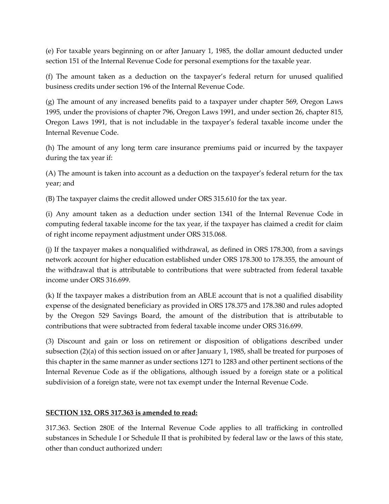(e) For taxable years beginning on or after January 1, 1985, the dollar amount deducted under section 151 of the Internal Revenue Code for personal exemptions for the taxable year.

(f) The amount taken as a deduction on the taxpayer's federal return for unused qualified business credits under section 196 of the Internal Revenue Code.

(g) The amount of any increased benefits paid to a taxpayer under chapter 569, Oregon Laws 1995, under the provisions of chapter 796, Oregon Laws 1991, and under section 26, chapter 815, Oregon Laws 1991, that is not includable in the taxpayer's federal taxable income under the Internal Revenue Code.

(h) The amount of any long term care insurance premiums paid or incurred by the taxpayer during the tax year if:

(A) The amount is taken into account as a deduction on the taxpayer's federal return for the tax year; and

(B) The taxpayer claims the credit allowed under ORS 315.610 for the tax year.

(i) Any amount taken as a deduction under section 1341 of the Internal Revenue Code in computing federal taxable income for the tax year, if the taxpayer has claimed a credit for claim of right income repayment adjustment under ORS 315.068.

(j) If the taxpayer makes a nonqualified withdrawal, as defined in ORS 178.300, from a savings network account for higher education established under ORS 178.300 to 178.355, the amount of the withdrawal that is attributable to contributions that were subtracted from federal taxable income under ORS 316.699.

(k) If the taxpayer makes a distribution from an ABLE account that is not a qualified disability expense of the designated beneficiary as provided in ORS 178.375 and 178.380 and rules adopted by the Oregon 529 Savings Board, the amount of the distribution that is attributable to contributions that were subtracted from federal taxable income under ORS 316.699.

(3) Discount and gain or loss on retirement or disposition of obligations described under subsection (2)(a) of this section issued on or after January 1, 1985, shall be treated for purposes of this chapter in the same manner as under sections 1271 to 1283 and other pertinent sections of the Internal Revenue Code as if the obligations, although issued by a foreign state or a political subdivision of a foreign state, were not tax exempt under the Internal Revenue Code.

## **SECTION 132. ORS 317.363 is amended to read:**

317.363. Section 280E of the Internal Revenue Code applies to all trafficking in controlled substances in Schedule I or Schedule II that is prohibited by federal law or the laws of this state, other than conduct authorized under**:**